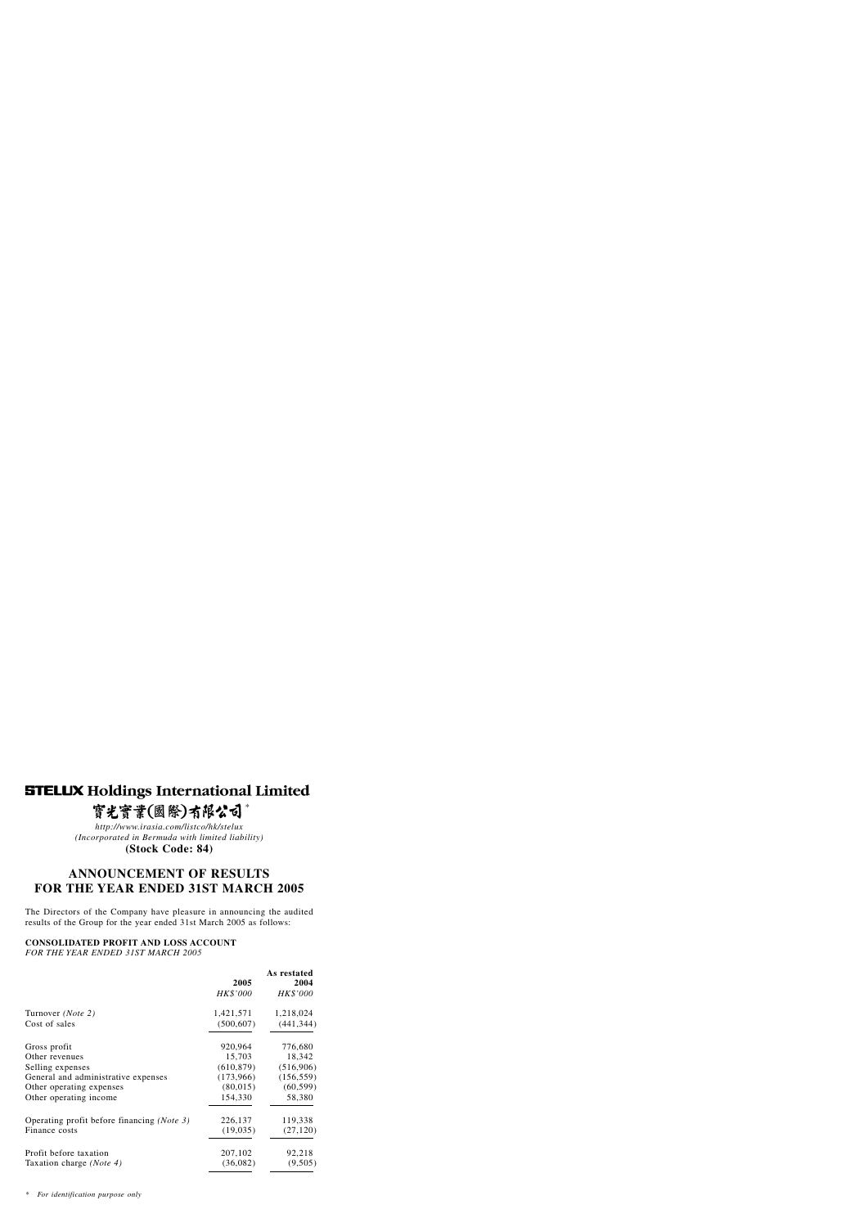# **STELUX Holdings International Limited**

# 實光實業(國際)有限公司\*

*http://www.irasia.com/listco/hk/stelux (Incorporated in Bermuda with limited liability)* **(Stock Code: 84)**

# **ANNOUNCEMENT OF RESULTS FOR THE YEAR ENDED 31ST MARCH 2005**

The Directors of the Company have pleasure in announcing the audited results of the Group for the year ended 31st March 2005 as follows:

# **CONSOLIDATED PROFIT AND LOSS ACCOUNT**

*FOR THE YEAR ENDED 31ST MARCH 2005*

|                                            |            | As restated |
|--------------------------------------------|------------|-------------|
|                                            | 2005       | 2004        |
|                                            | HK\$'000   | HK\$'000    |
| Turnover ( <i>Note</i> 2)                  | 1,421,571  | 1,218,024   |
| Cost of sales                              | (500, 607) | (441, 344)  |
| Gross profit                               | 920,964    | 776,680     |
| Other revenues                             | 15,703     | 18,342      |
| Selling expenses                           | (610, 879) | (516,906)   |
| General and administrative expenses        | (173,966)  | (156, 559)  |
| Other operating expenses                   | (80, 015)  | (60, 599)   |
| Other operating income                     | 154,330    | 58,380      |
| Operating profit before financing (Note 3) | 226,137    | 119,338     |
| Finance costs                              | (19,035)   | (27, 120)   |
| Profit before taxation                     | 207,102    | 92,218      |
| Taxation charge ( <i>Note 4</i> )          | (36,082)   | (9,505)     |

*\* For identification purpose only*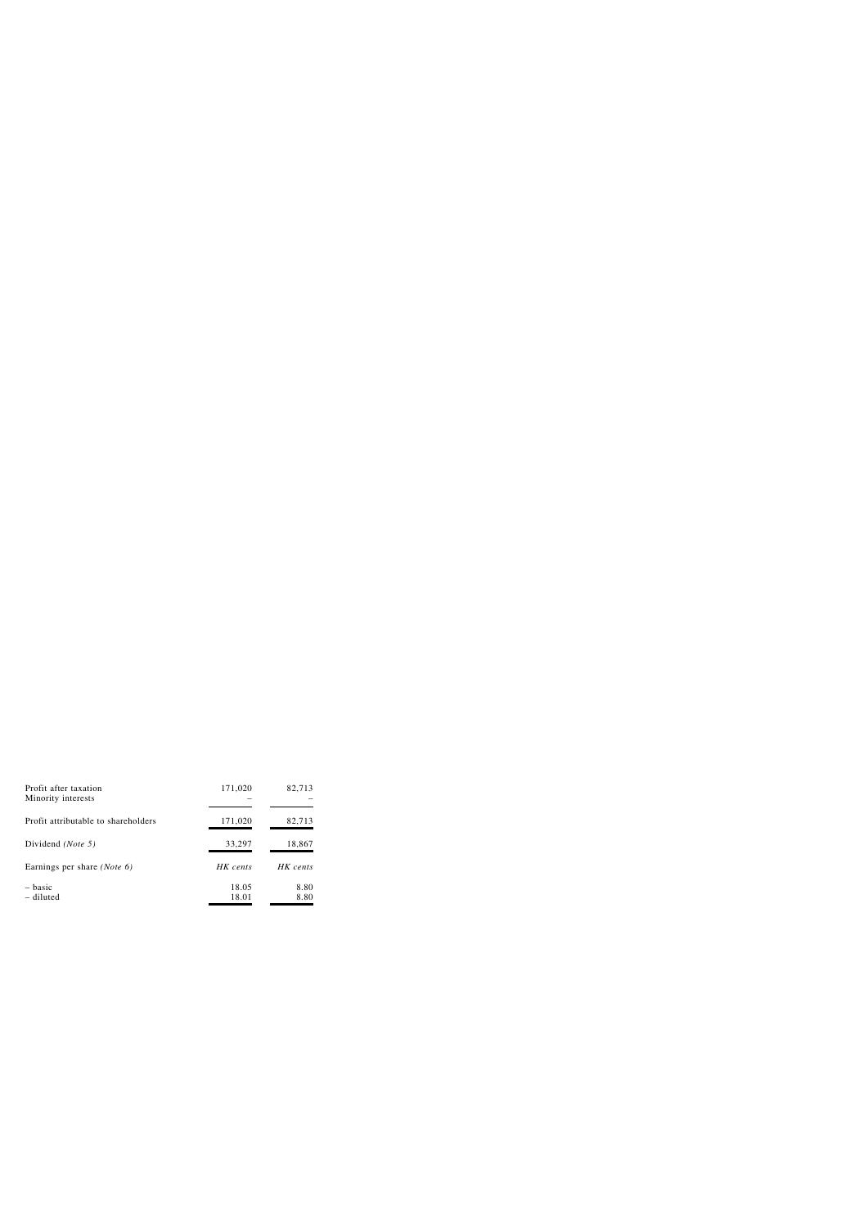| Profit after taxation<br>Minority interests | 171,020        | 82,713       |
|---------------------------------------------|----------------|--------------|
| Profit attributable to shareholders         | 171,020        | 82,713       |
| Dividend (Note 5)                           | 33,297         | 18,867       |
| Earnings per share ( <i>Note 6</i> )        | HK cents       | HK cents     |
| $-basic$<br>- diluted                       | 18.05<br>18.01 | 8.80<br>8.80 |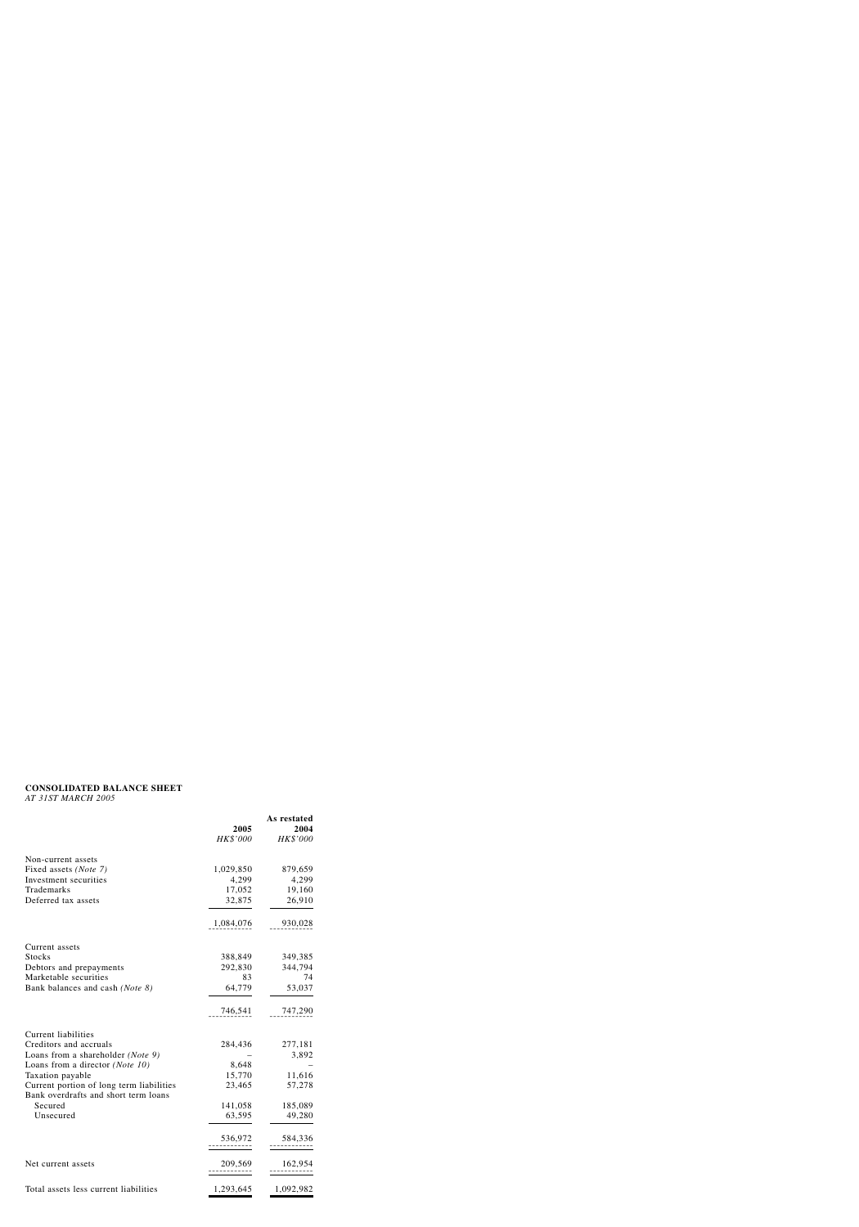# **CONSOLIDATED BALANCE SHEET**

*AT 31ST MARCH 2005*

|                                                                                  | 2005      | As restated<br>2004 |
|----------------------------------------------------------------------------------|-----------|---------------------|
|                                                                                  | HK\$'000  | HK\$'000            |
| Non-current assets                                                               |           |                     |
| Fixed assets ( <i>Note</i> 7)                                                    | 1,029,850 | 879,659             |
| Investment securities                                                            | 4,299     | 4,299               |
| Trademarks                                                                       | 17,052    | 19,160              |
| Deferred tax assets                                                              | 32,875    | 26,910              |
|                                                                                  | 1,084,076 | 930,028             |
| Current assets                                                                   |           |                     |
| <b>Stocks</b>                                                                    | 388,849   | 349,385             |
| Debtors and prepayments                                                          | 292,830   | 344,794             |
| Marketable securities                                                            | 83        | 74                  |
| Bank balances and cash (Note 8)                                                  | 64,779    | 53,037              |
|                                                                                  | 746,541   | 747,290             |
| <b>Current liabilities</b>                                                       |           |                     |
| Creditors and accruals                                                           | 284,436   | 277,181             |
| Loans from a shareholder (Note 9)                                                |           | 3,892               |
| Loans from a director ( <i>Note 10</i> )                                         | 8,648     |                     |
| Taxation payable                                                                 | 15,770    | 11,616              |
| Current portion of long term liabilities<br>Bank overdrafts and short term loans | 23,465    | 57,278              |
| Secured                                                                          | 141,058   | 185,089             |
| Unsecured                                                                        | 63,595    | 49,280              |
|                                                                                  | 536,972   | 584,336             |
| Net current assets                                                               | 209,569   | 162,954             |
| Total assets less current liabilities                                            | 1,293,645 | 1,092,982           |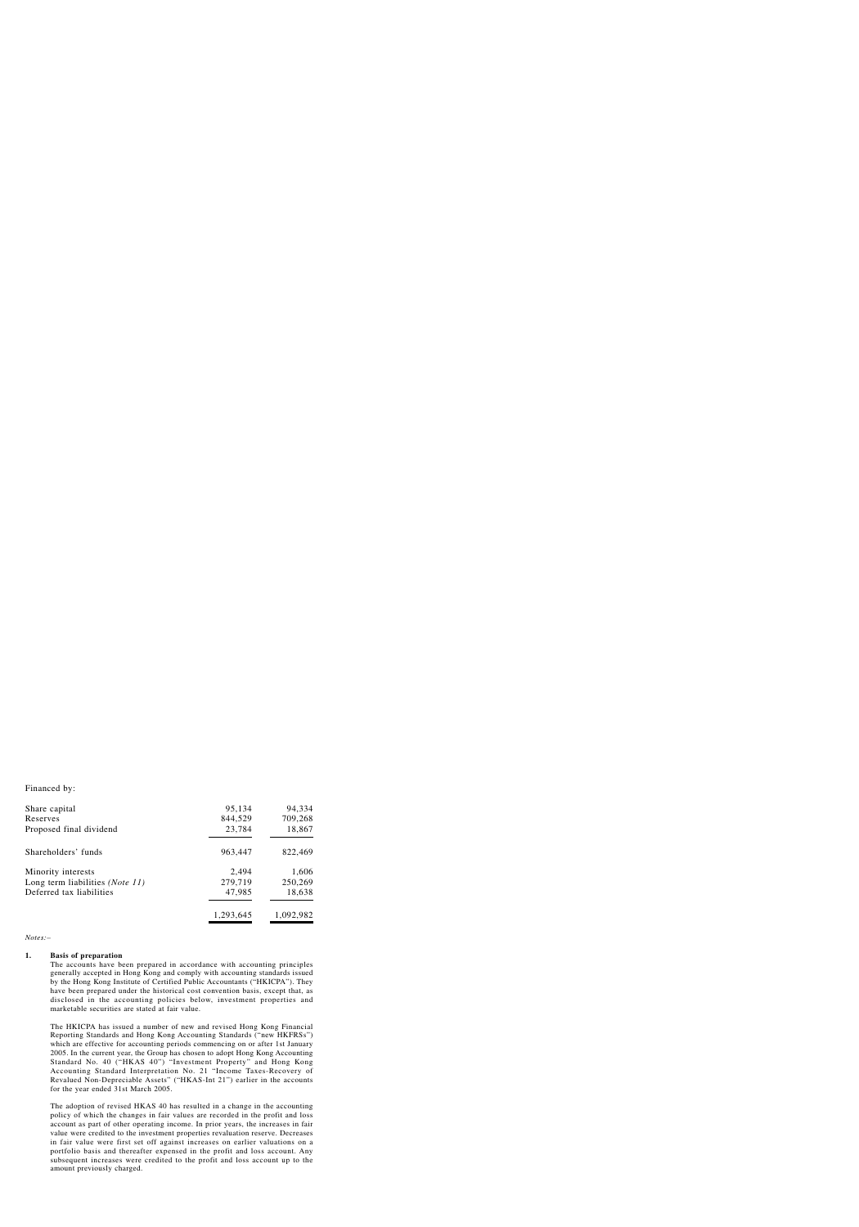Financed by:

| Share capital                            | 95,134    | 94,334    |
|------------------------------------------|-----------|-----------|
| Reserves                                 | 844,529   | 709,268   |
| Proposed final dividend                  | 23,784    | 18,867    |
| Shareholders' funds                      | 963,447   | 822,469   |
| Minority interests                       | 2,494     | 1,606     |
| Long term liabilities ( <i>Note 11</i> ) | 279,719   | 250,269   |
| Deferred tax liabilities                 | 47,985    | 18,638    |
|                                          | 1,293,645 | 1,092,982 |

*Notes:–*

#### **1. Basis of preparation**

The accounts have been prepared in accordance with accounting principles generally accepted in Hong Kong and comply with accounting standards issued by the Hong Kong Institute of Certified Public Accountants ("HKICPA"). They have been prepared under the historical cost convention basis, except that, as disclosed in the accounting policies below, investment properties and marketable securities are stated at fair value.

The HKICPA has issued a number of new and revised Hong Kong Financial Reporting Standards and Hong Kong Accounting Standards ("new HKFRSs") which are effective for accounting periods commencing on or after 1st January 2005. In the current year, the Group has chosen to adopt Hong Kong Accounting Standard No. 40 ("HKAS 40") "Investment Property" and Hong Kong Accounting Standard Interpretation No. 21 "Income Taxes-Recovery of Revalued Non-Depreciable Assets" ("HKAS-Int 21") earlier in the accounts for the year ended 31st March 2005.

The adoption of revised HKAS 40 has resulted in a change in the accounting policy of which the changes in fair values are recorded in the profit and loss account as part of other operating income. In prior years, the increases in fair value were credited to the investment properties revaluation reserve. Decreases in fair value were first set off against increases on earlier valuations on a portfolio basis and thereafter expensed in the profit and loss account. Any subsequent increases were credited to the profit and loss account up to the amount previously charged.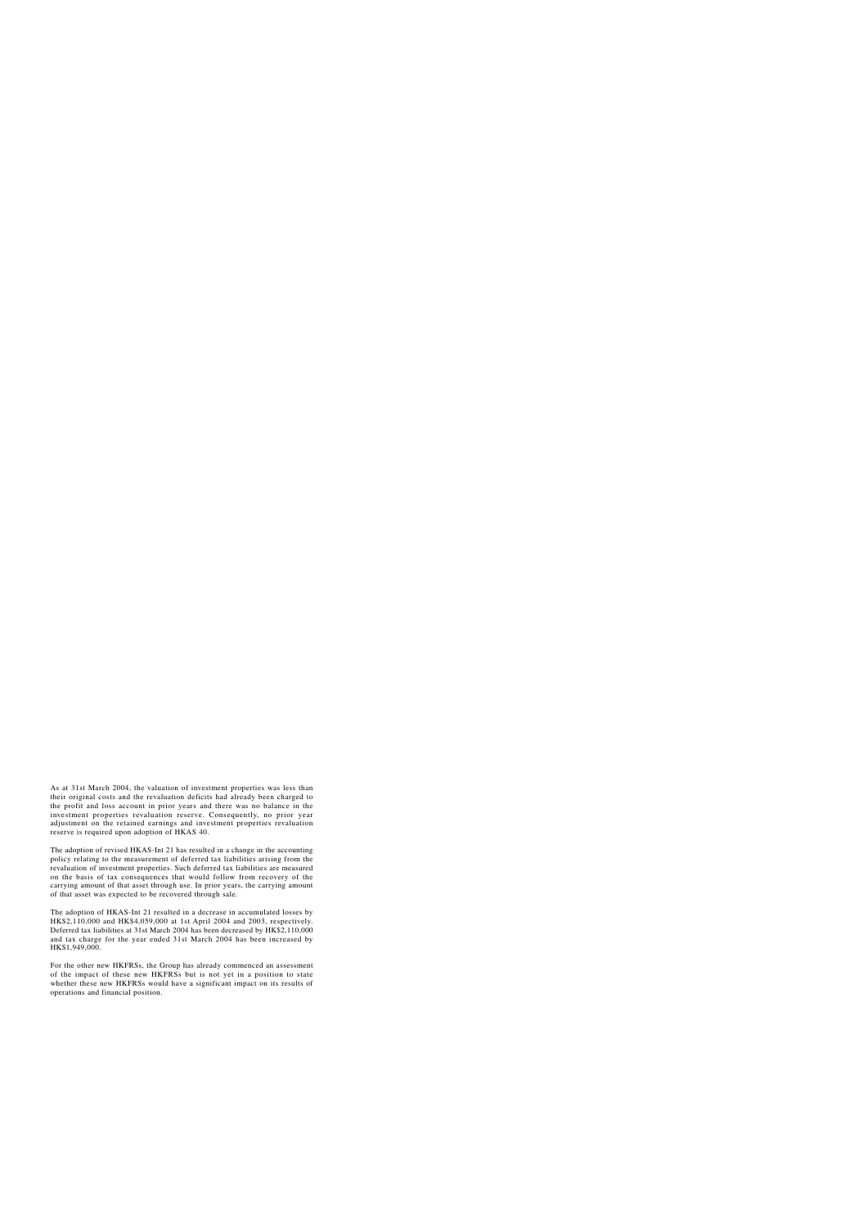As at 31st March 2004, the valuation of investment properties was less than their original costs and the revaluation deficits had already been charged to the profit and loss account in prior years and there was no balance in the investment properties revaluation reserve. Consequently, no prior year adjustment on the retained earnings and investment properties revaluation reserve is required upon adoption of HKAS 40.

The adoption of revised HKAS-Int 21 has resulted in a change in the accounting policy relating to the measurement of deferred tax liabilities arising from the revaluation of investment properties. Such deferred tax liabilities are measured on the basis of tax consequences that would follow from recovery of the carrying amount of that asset through use. In prior years, the carrying amount of that asset was expected to be recovered through sale.

The adoption of HKAS-Int 21 resulted in a decrease in accumulated losses by HK\$2,110,000 and HK\$4,059,000 at 1st April 2004 and 2003, respectively. Deferred tax liabilities at 31st March 2004 has been decreased by HK\$2,110,000 and tax charge for the year ended 31st March 2004 has been increased by HK\$1,949,000.

For the other new HKFRSs, the Group has already commenced an assessment of the impact of these new HKFRSs but is not yet in a position to state whether these new HKFRSs would have a significant impact on its results of operations and financial position.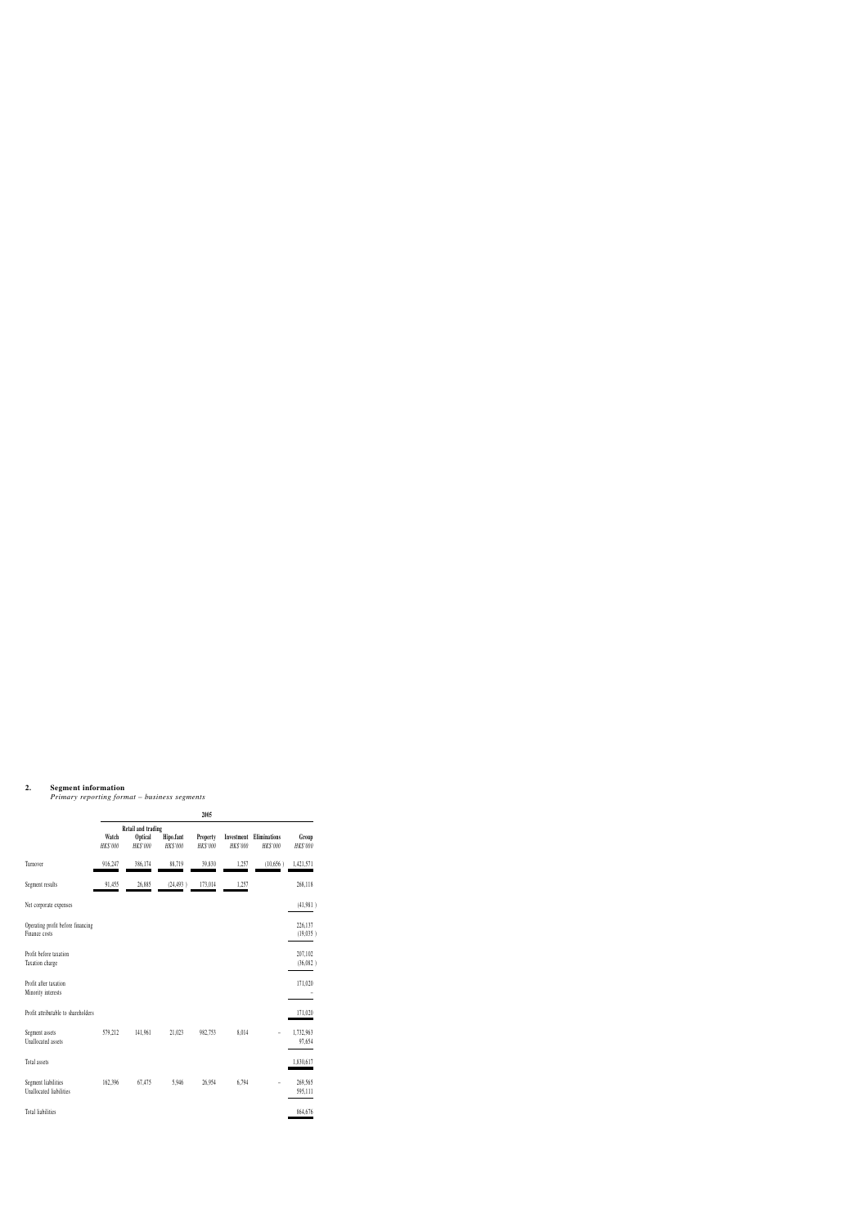#### **2. Segment information**

*Primary reporting format – business segments*

|                                                    |                   |                                                  |                       | 2005                        |                        |                                 |                     |
|----------------------------------------------------|-------------------|--------------------------------------------------|-----------------------|-----------------------------|------------------------|---------------------------------|---------------------|
|                                                    | Watch<br>HK\$'000 | Retail and trading<br><b>Optical</b><br>HK\$'000 | Hipo.fant<br>HK\$'000 | <b>Property</b><br>HK\$'000 | Investment<br>HK\$'000 | <b>Eliminations</b><br>HK\$'000 | Group<br>HK\$'000   |
| Turnover                                           | 916,247           | 386,174                                          | 88,719                | 39,830                      | 1,257                  | (10,656)                        | 1,421,571           |
| Segment results                                    | 91,455            | 26,885                                           | (24, 493)             | 173,014                     | 1,257                  |                                 | 268,118             |
| Net corporate expenses                             |                   |                                                  |                       |                             |                        |                                 | (41,981)            |
| Operating profit before financing<br>Finance costs |                   |                                                  |                       |                             |                        |                                 | 226,137<br>(19,035) |
| Profit before taxation<br>Taxation charge          |                   |                                                  |                       |                             |                        |                                 | 207,102<br>(36,082) |
| Profit after taxation<br>Minority interests        |                   |                                                  |                       |                             |                        |                                 | 171,020             |
| Profit attributable to shareholders                |                   |                                                  |                       |                             |                        |                                 | 171,020             |
| Segment assets<br>Unallocated assets               | 579,212           | 141,961                                          | 21,023                | 982,753                     | 8,014                  |                                 | 1,732,963<br>97,654 |
| Total assets                                       |                   |                                                  |                       |                             |                        |                                 | 1,830,617           |
| Segment liabilities<br>Unallocated liabilities     | 162,396           | 67,475                                           | 5,946                 | 26,954                      | 6,794                  |                                 | 269,565<br>595,111  |
| Total liabilities                                  |                   |                                                  |                       |                             |                        |                                 | 864,676             |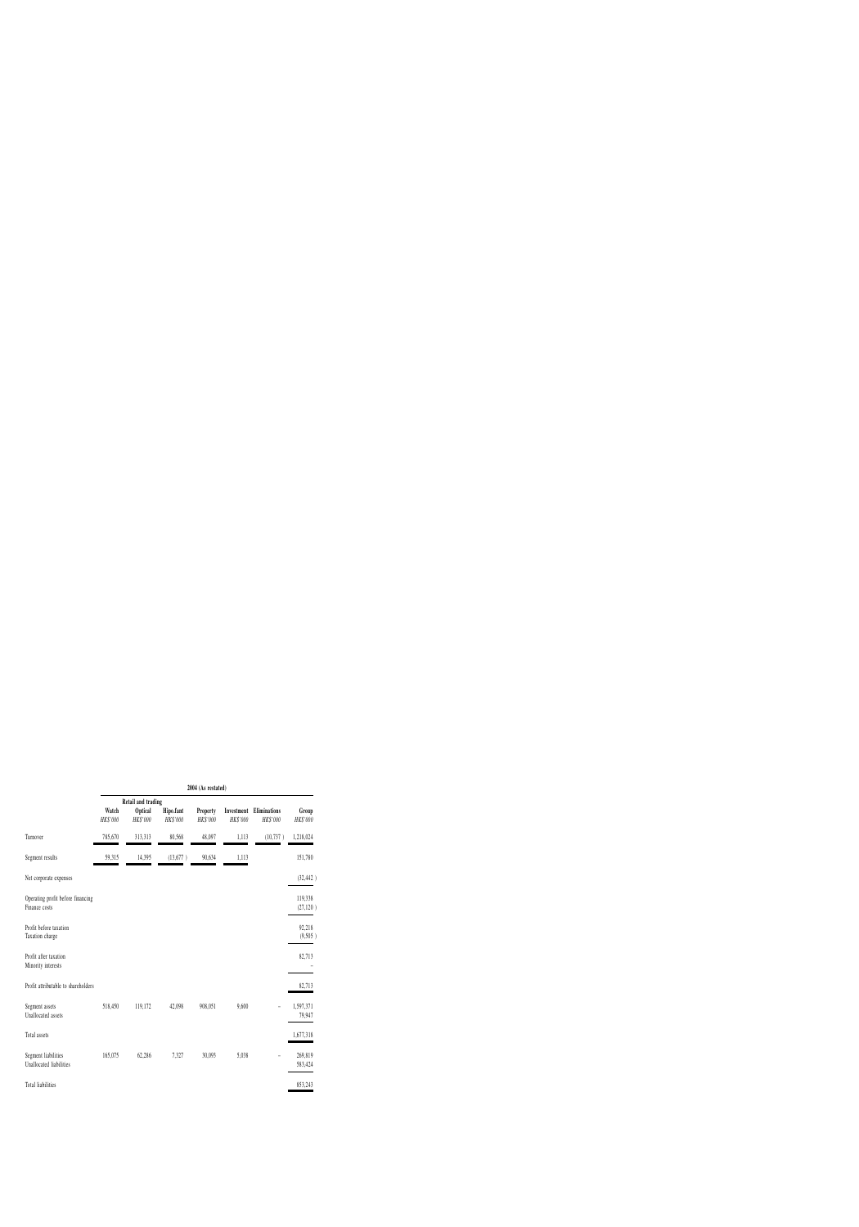|                                                    |                   |                                                         |                       | 2004 (As restated)          |                        |                          |                      |
|----------------------------------------------------|-------------------|---------------------------------------------------------|-----------------------|-----------------------------|------------------------|--------------------------|----------------------|
|                                                    | Watch<br>HK\$'000 | <b>Retail and trading</b><br><b>Optical</b><br>HK\$'000 | Hipo.fant<br>HK\$'000 | <b>Property</b><br>HK\$'000 | Investment<br>HK\$'000 | Eliminations<br>HK\$'000 | Group<br>HK\$'000    |
| Turnover                                           | 785,670           | 313,313                                                 | 80,568                | 48,097                      | 1,113                  | (10, 737)                | 1,218,024            |
| Segment results                                    | 59,315            | 14,395                                                  | (13,677)              | 90,634                      | 1,113                  |                          | 151,780              |
| Net corporate expenses                             |                   |                                                         |                       |                             |                        |                          | (32, 442)            |
| Operating profit before financing<br>Finance costs |                   |                                                         |                       |                             |                        |                          | 119,338<br>(27, 120) |
| Profit before taxation<br>Taxation charge          |                   |                                                         |                       |                             |                        |                          | 92,218<br>(9,505)    |
| Profit after taxation<br>Minority interests        |                   |                                                         |                       |                             |                        |                          | 82,713               |
| Profit attributable to shareholders                |                   |                                                         |                       |                             |                        |                          | 82,713               |
| Segment assets<br>Unallocated assets               | 518,450           | 119,172                                                 | 42,098                | 908,051                     | 9,600                  |                          | 1,597,371<br>79,947  |
| Total assets                                       |                   |                                                         |                       |                             |                        |                          | 1,677,318            |
| Segment liabilities<br>Unallocated liabilities     | 165,075           | 62,286                                                  | 7,327                 | 30,093                      | 5,038                  |                          | 269,819<br>583,424   |
| Total liabilities                                  |                   |                                                         |                       |                             |                        |                          | 853,243              |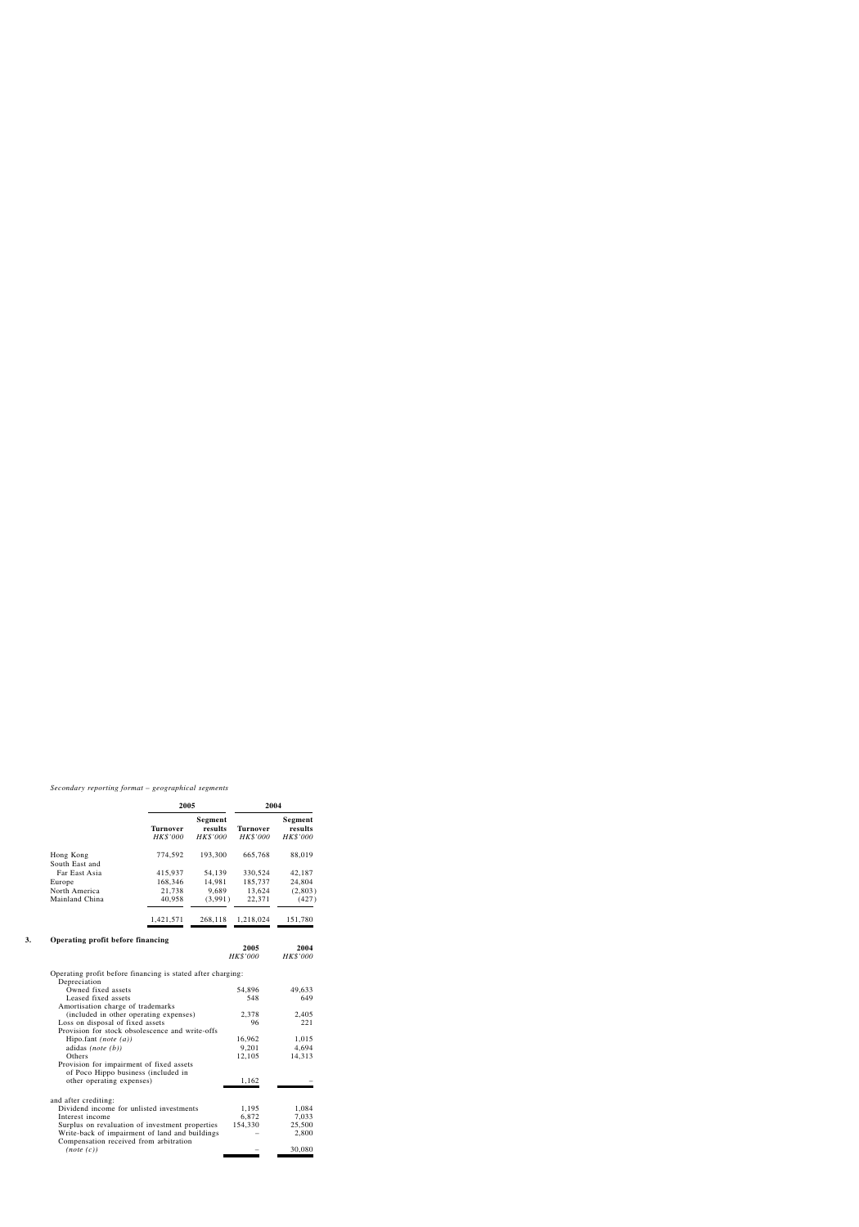*Secondary reporting format – geographical segments*

|                             |                             | 2005                                  |                                    | 2004                           |
|-----------------------------|-----------------------------|---------------------------------------|------------------------------------|--------------------------------|
|                             | <b>Turnover</b><br>HK\$'000 | <b>Segment</b><br>results<br>HK\$'000 | <b>Turnover</b><br><b>HK\$'000</b> | Segment<br>results<br>HK\$'000 |
| Hong Kong<br>South East and | 774,592                     | 193,300                               | 665,768                            | 88,019                         |
| Far East Asia               | 415,937                     | 54,139                                | 330,524                            | 42,187                         |
| Europe                      | 168,346                     | 14,981                                | 185,737                            | 24,804                         |
| North America               | 21,738                      | 9,689                                 | 13,624                             | (2,803)                        |
| Mainland China              | 40,958                      | (3,991)                               | 22,371                             | (427)                          |
|                             | 1,421,571                   | 268,118                               | 1,218,024                          | 151,780                        |

## **3. Operating profit before financing**

| Operating profit before milancing                                                        | 2005<br>HK\$'000 | 2004<br>HK\$'000 |
|------------------------------------------------------------------------------------------|------------------|------------------|
| Operating profit before financing is stated after charging:                              |                  |                  |
| Depreciation                                                                             |                  |                  |
| Owned fixed assets                                                                       | 54,896           | 49,633           |
| Leased fixed assets                                                                      | 548              | 649              |
| Amortisation charge of trademarks                                                        |                  |                  |
| (included in other operating expenses)                                                   | 2,378            | 2,405            |
| Loss on disposal of fixed assets                                                         | 96               | 221              |
| Provision for stock obsolescence and write-offs                                          |                  |                  |
| Hipo.fant (note $(a)$ )                                                                  | 16,962           | 1,015            |
| adidas (note $(b)$ )                                                                     | 9,201            | 4,694            |
| Others                                                                                   | 12,105           | 14,313           |
| Provision for impairment of fixed assets                                                 |                  |                  |
| of Poco Hippo business (included in                                                      |                  |                  |
| other operating expenses)                                                                | 1,162            |                  |
|                                                                                          |                  |                  |
| and after crediting:                                                                     |                  |                  |
| Dividend income for unlisted investments                                                 | 1,195            | 1,084            |
| Interest income                                                                          | 6,872            | 7,033            |
| Surplus on revaluation of investment properties                                          | 154,330          | 25,500           |
| Write-back of impairment of land and buildings<br>Compensation received from arbitration |                  | 2,800            |
| (note(c))                                                                                |                  | 30,080           |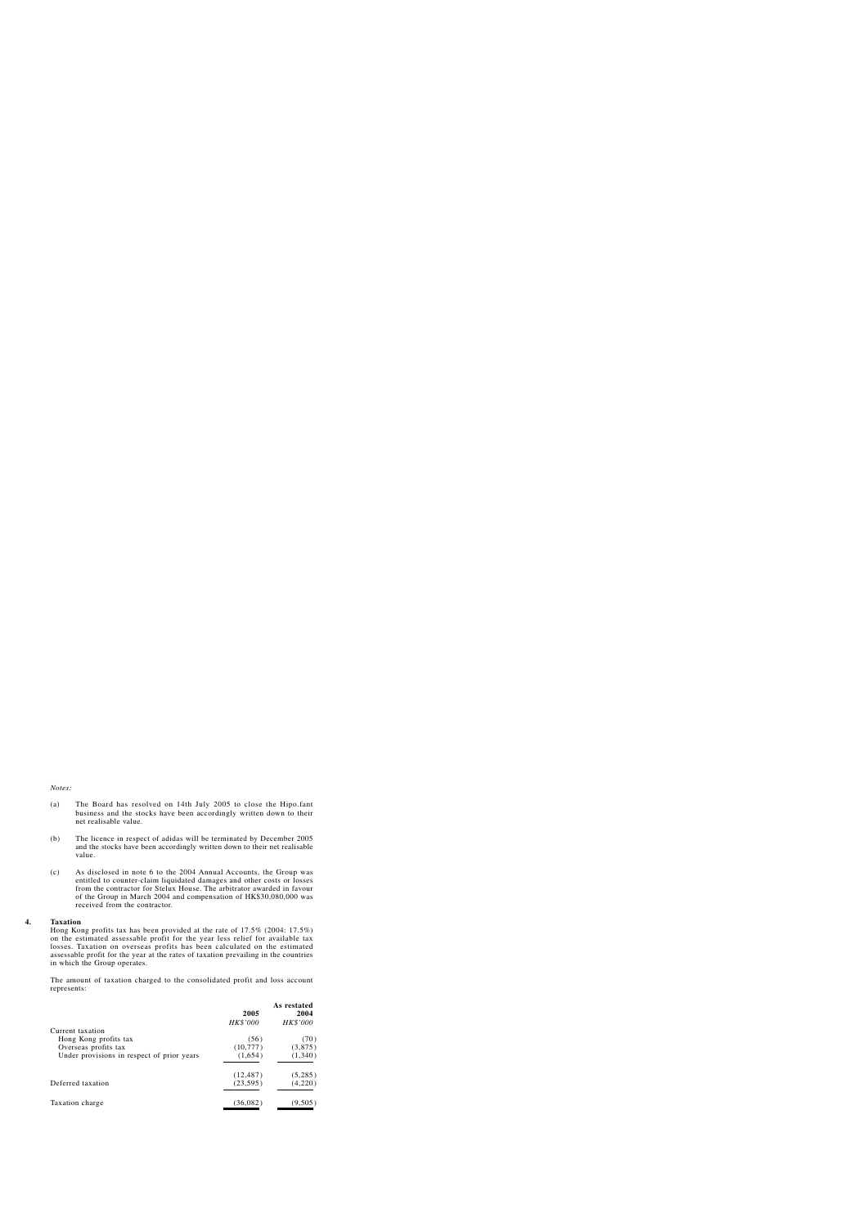#### *Notes:*

- (a) The Board has resolved on 14th July 2005 to close the Hipo.fant business and the stocks have been accordingly written down to their net realisable value.
- (b) The licence in respect of adidas will be terminated by December 2005 and the stocks have been accordingly written down to their net realisable value.
- (c) As disclosed in note 6 to the 2004 Annual Accounts, the Group was entitled to counter-claim liquidated damages and other costs or losses from the contractor for Stelux House. The arbitrator awarded in favour of the Group in March 2004 and compensation of HK\$30,080,000 was received from the contractor.

#### **4. Taxation**

Hong Kong profits tax has been provided at the rate of 17.5% (2004: 17.5%) on the estimated assessable profit for the year less relief for available tax losses. Taxation on overseas profits has been calculated on the estimated assessable profit for the year at the rates of taxation prevailing in the countries in which the Group operates.

The amount of taxation charged to the consolidated profit and loss account represents:

| 2005      | As restated<br>2004 |
|-----------|---------------------|
| HK\$'000  | HK\$'000            |
|           |                     |
| (56)      | (70)                |
| (10,777)  | (3,875)             |
| (1,654)   | (1,340)             |
| (12, 487) | (5,285)             |
| (23, 595) | (4,220)             |
| (36, 082) | (9,505)             |
|           |                     |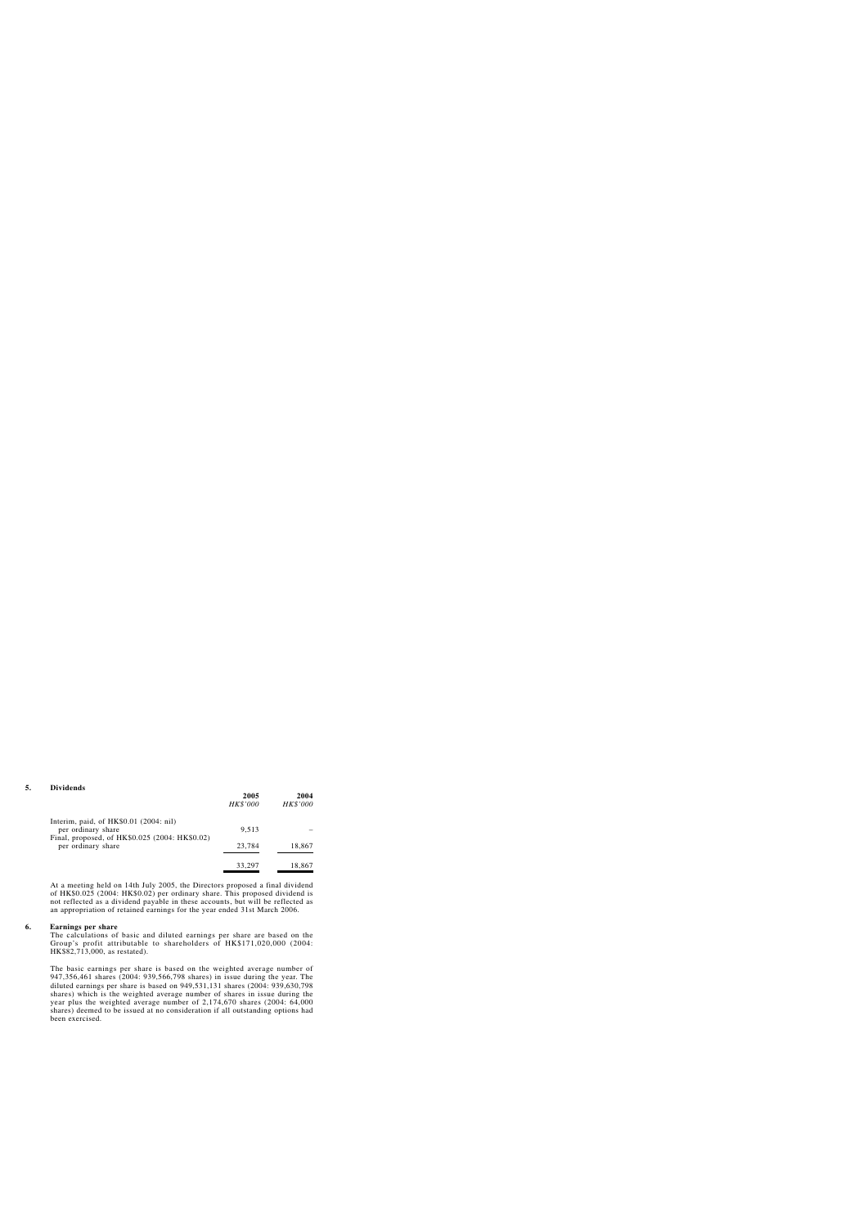|                                                                      | 2005<br>HK\$'000 | 2004<br><b>HK\$'000</b> |
|----------------------------------------------------------------------|------------------|-------------------------|
| Interim, paid, of $HK$0.01$ (2004: nil)<br>per ordinary share        | 9,513            |                         |
| Final, proposed, of HK\$0.025 (2004: HK\$0.02)<br>per ordinary share | 23,784           | 18,867                  |
|                                                                      | 33,297           | 18,867                  |

At a meeting held on 14th July 2005, the Directors proposed a final dividend of HK\$0.025 (2004: HK\$0.02) per ordinary share. This proposed dividend is not reflected as a dividend payable in these accounts, but will be reflected as an appropriation of retained earnings for the year ended 31st March 2006.

#### **6. Earnings per share**

The calculations of basic and diluted earnings per share are based on the Group's profit attributable to shareholders of HK\$171,020,000 (2004: HK\$82,713,000, as restated).

The basic earnings per share is based on the weighted average number of 947,356,461 shares (2004: 939,566,798 shares) in issue during the year. The diluted earnings per share is based on 949,531,131 shares (2004: 939,630,798 shares) which is the weighted average number of shares in issue during the year plus the weighted average number of 2,174,670 shares (2004: 64,000 shares) deemed to be issued at no consideration if all outstanding options had been exercised.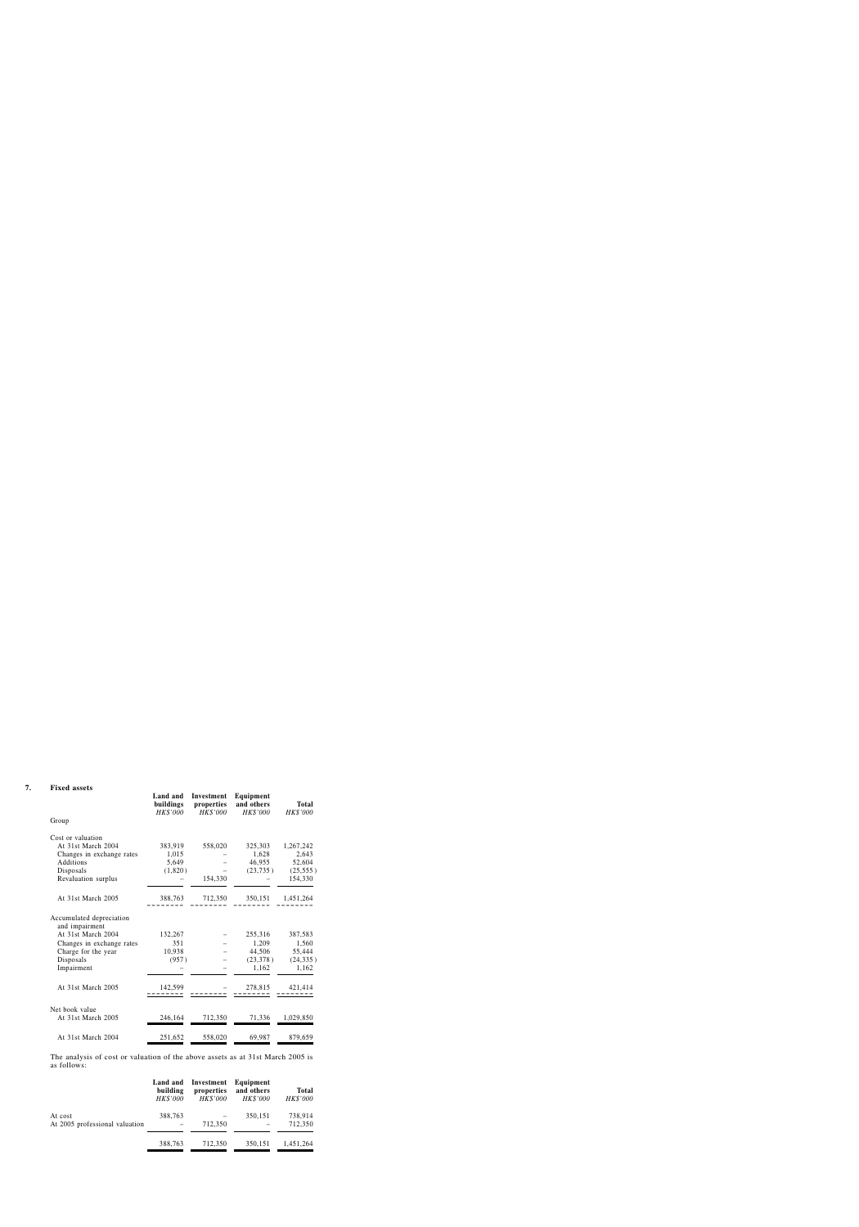#### **7. Fixed assets**

|                                            | Land and<br>buildings<br>HK\$'000 | Investment<br>properties<br>HK\$'000 | Equipment<br>and others<br>HK\$'000 | <b>Total</b><br>HK\$'000 |
|--------------------------------------------|-----------------------------------|--------------------------------------|-------------------------------------|--------------------------|
| Group                                      |                                   |                                      |                                     |                          |
| Cost or valuation                          |                                   |                                      |                                     |                          |
| At 31st March 2004                         | 383,919                           | 558,020                              | 325,303                             | 1,267,242                |
| Changes in exchange rates                  | 1,015                             |                                      | 1,628                               | 2,643                    |
| Additions                                  | 5,649                             |                                      | 46,955                              | 52,604                   |
| Disposals                                  | (1,820)                           |                                      | (23, 735)                           | (25, 555)                |
| Revaluation surplus                        |                                   | 154,330                              |                                     | 154,330                  |
| At 31st March 2005                         | 388,763                           | 712,350                              | 350,151                             | 1,451,264                |
| Accumulated depreciation<br>and impairment |                                   |                                      |                                     |                          |
| At 31st March 2004                         | 132,267                           |                                      | 255,316                             | 387,583                  |
| Changes in exchange rates                  | 351                               |                                      | 1,209                               | 1,560                    |
| Charge for the year                        | 10,938                            |                                      | 44,506                              | 55,444                   |
| Disposals                                  | (957)                             |                                      | (23,378)                            | (24, 335)                |
| Impairment                                 |                                   |                                      | 1,162                               | 1,162                    |
| At 31st March 2005                         | 142,599                           |                                      | 278,815                             | 421,414                  |
| Net book value                             |                                   |                                      |                                     |                          |
| At 31st March 2005                         | 246,164                           | 712,350                              | 71,336                              | 1,029,850                |
| At 31st March 2004                         | 251,652                           | 558,020                              | 69,987                              | 879,659                  |

The analysis of cost or valuation of the above assets as at 31st March 2005 is as follows:

|                                           | Land and<br>building<br>HK\$'000 | Investment<br>properties<br>HK\$'000 | Equipment<br>and others<br>HK\$'000 | <b>Total</b><br>HK\$'000 |
|-------------------------------------------|----------------------------------|--------------------------------------|-------------------------------------|--------------------------|
| At cost<br>At 2005 professional valuation | 388,763                          | 712,350                              | 350,151                             | 738,914<br>712,350       |
|                                           | 388,763                          | 712,350                              | 350,151                             | 1,451,264                |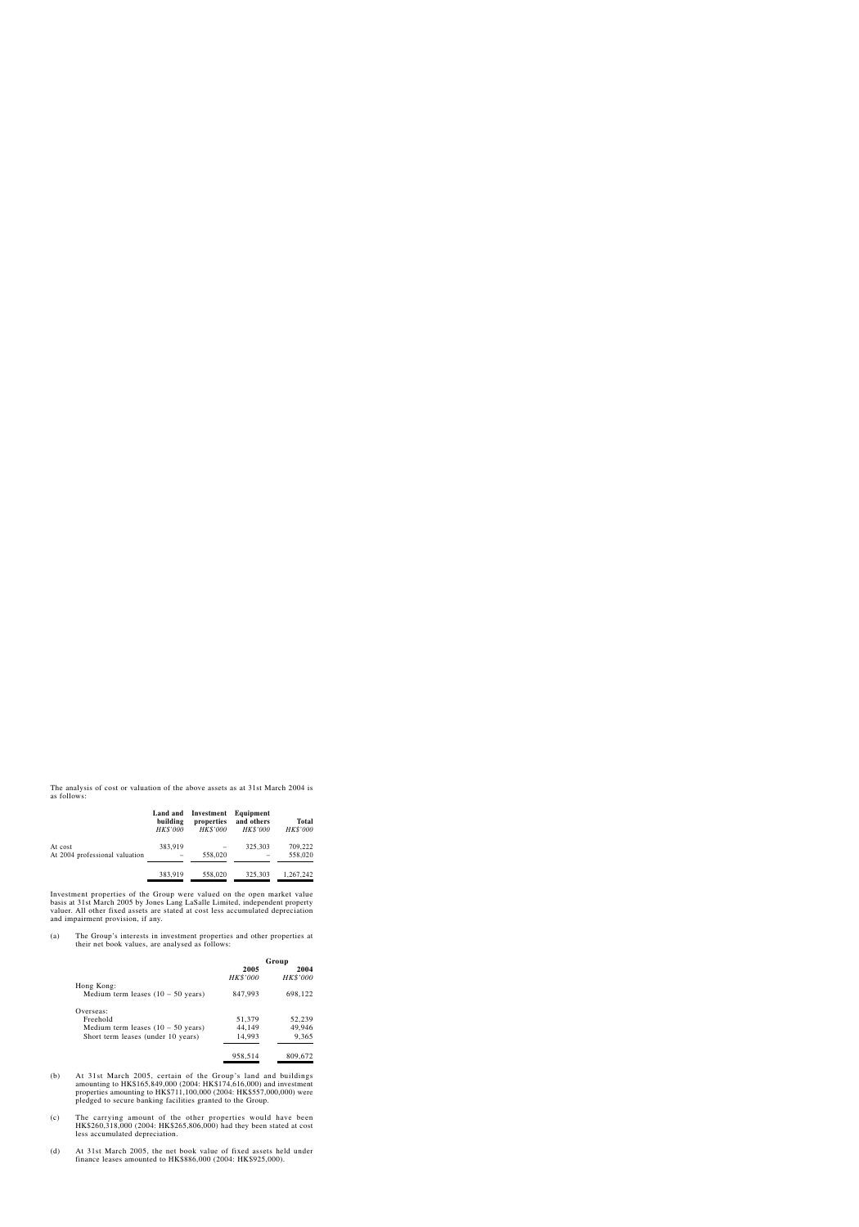The analysis of cost or valuation of the above assets as at 31st March 2004 is as follows:

|                                           | Land and<br>building<br>HK\$'000 | Investment<br>properties<br>HK\$'000 | Equipment<br>and others<br>HK\$'000 | <b>Total</b><br>HK\$'000 |
|-------------------------------------------|----------------------------------|--------------------------------------|-------------------------------------|--------------------------|
| At cost<br>At 2004 professional valuation | 383,919                          | 558,020                              | 325,303                             | 709,222<br>558,020       |
|                                           | 383,919                          | 558,020                              | 325,303                             | 1,267,242                |

Investment properties of the Group were valued on the open market value basis at 31st March 2005 by Jones Lang LaSalle Limited, independent property valuer. All other fixed assets are stated at cost less accumulated depreciation and impairment provision, if any.

(a) The Group's interests in investment properties and other properties at their net book values, are analysed as follows:

|                                              | Group    |          |  |
|----------------------------------------------|----------|----------|--|
|                                              | 2005     | 2004     |  |
|                                              | HK\$'000 | HK\$'000 |  |
| Hong Kong:                                   |          |          |  |
| Medium term leases $(10 - 50 \text{ years})$ | 847,993  | 698,122  |  |
| Overseas:                                    |          |          |  |
| Freehold                                     | 51,379   | 52,239   |  |
| Medium term leases $(10 - 50 \text{ years})$ | 44,149   | 49,946   |  |
| Short term leases (under 10 years)           | 14,993   | 9,365    |  |
|                                              | 958,514  | 809,672  |  |

- (b) At 31st March 2005, certain of the Group's land and buildings amounting to HK\$165,849,000 (2004: HK\$174,616,000) and investment properties amounting to HK\$711,100,000 (2004: HK\$557,000,000) were pledged to secure banking facilities granted to the Group.
- (c) The carrying amount of the other properties would have been HK\$260,318,000 (2004: HK\$265,806,000) had they been stated at cost less accumulated depreciation.
- (d) At 31st March 2005, the net book value of fixed assets held under finance leases amounted to HK\$886,000 (2004: HK\$925,000).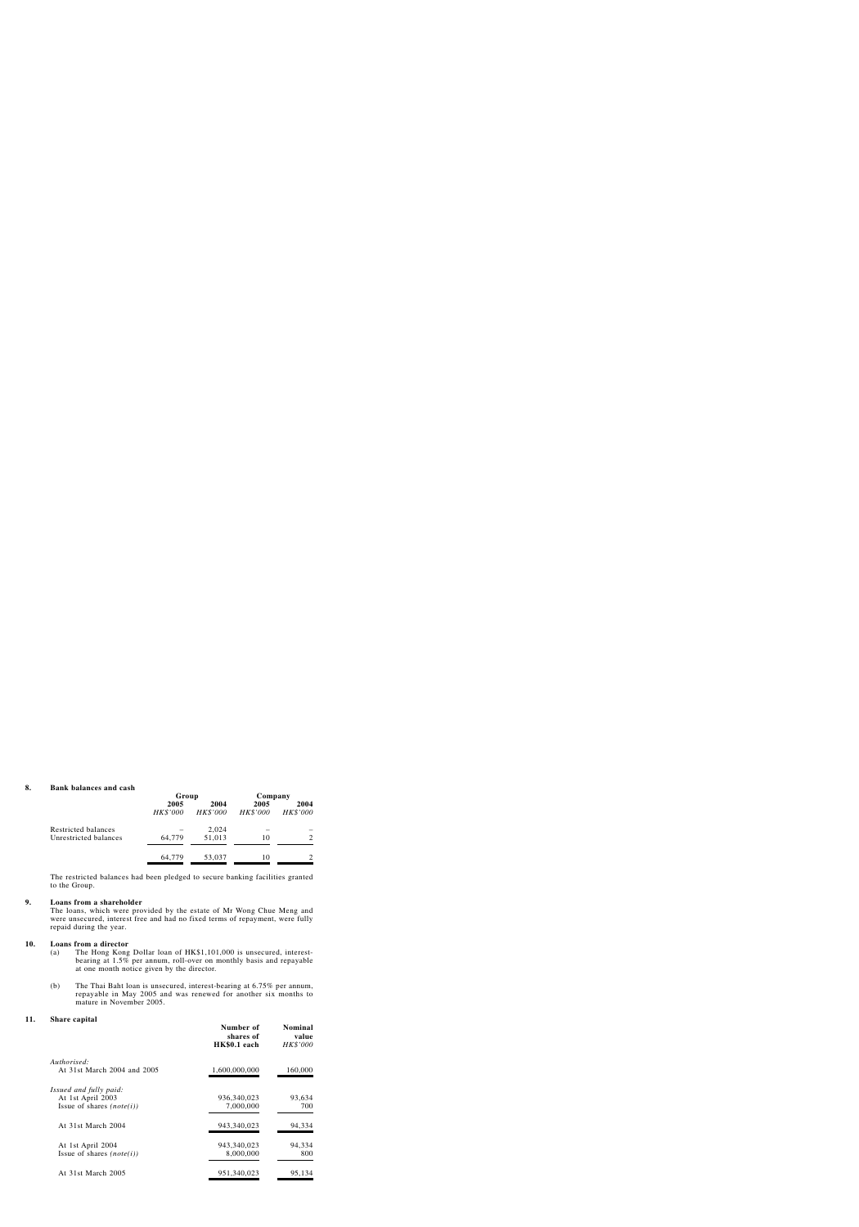#### **8. Bank balances and cash**

|                                              | Group            |                  | Company          |                  |
|----------------------------------------------|------------------|------------------|------------------|------------------|
|                                              | 2005<br>HK\$'000 | 2004<br>HK\$'000 | 2005<br>HK\$'000 | 2004<br>HK\$'000 |
| Restricted balances<br>Unrestricted balances | 64,779           | 2,024<br>51,013  | 10               | 2                |
|                                              | 64,779           | 53,037           | 10               | 2                |

The restricted balances had been pledged to secure banking facilities granted to the Group.

#### **9. Loans from a shareholder**

The loans, which were provided by the estate of Mr Wong Chue Meng and were unsecured, interest free and had no fixed terms of repayment, were fully repaid during the year.

#### **10. Loans from a director**

- (a) The Hong Kong Dollar loan of HK\$1,101,000 is unsecured, interestbearing at 1.5% per annum, roll-over on monthly basis and repayable at one month notice given by the director.
- (b) The Thai Baht loan is unsecured, interest-bearing at 6.75% per annum, repayable in May 2005 and was renewed for another six months to mature in November 2005.

#### **11. Share capital**

|                             | Number of<br>shares of<br>HK\$0.1 each | <b>Nominal</b><br>value<br>HK\$'000 |
|-----------------------------|----------------------------------------|-------------------------------------|
| Authorised:                 |                                        |                                     |
| At 31st March 2004 and 2005 | 1,600,000,000                          | 160,000                             |
| Issued and fully paid:      |                                        |                                     |
| At 1st April 2003           | 936, 340, 023                          | 93,634                              |
| Issue of shares $(note(i))$ | 7,000,000                              | 700                                 |
| At 31st March 2004          | 943,340,023                            | 94,334                              |
| At 1st April 2004           | 943,340,023                            | 94,334                              |
| Issue of shares $(note(i))$ | 8,000,000                              | 800                                 |
| At 31st March 2005          | 951,340,023                            | 95,134                              |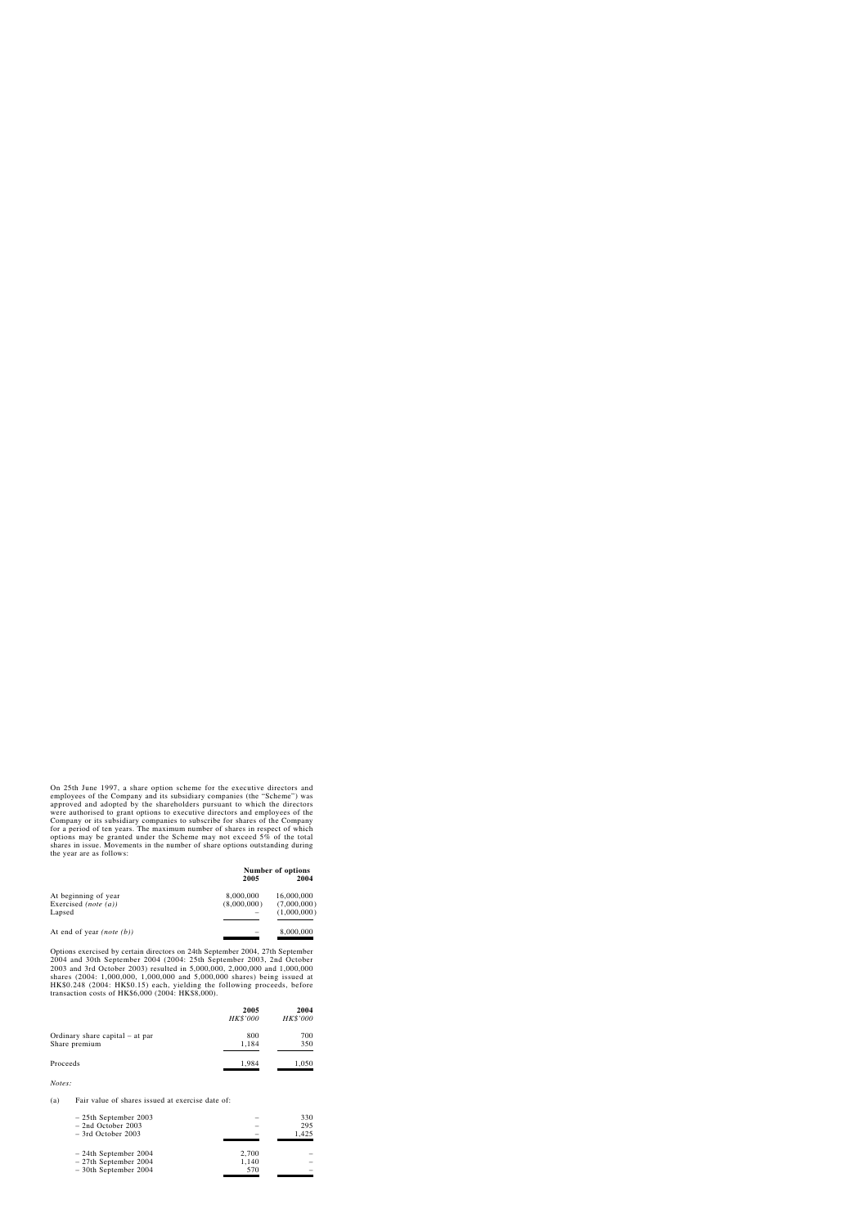On 25th June 1997, a share option scheme for the executive directors and employees of the Company and its subsidiary companies (the "Scheme") was approved and adopted by the shareholders pursuant to which the directors were authorised to grant options to executive directors and employees of the Company or its subsidiary companies to subscribe for shares of the Company for a period of ten years. The maximum number of shares in respect of which options may be granted under the Scheme may not exceed 5% of the total shares in issue. Movements in the number of share options outstanding during the year are as follows:

|                                      | 2005        | <b>Number of options</b><br>2004 |
|--------------------------------------|-------------|----------------------------------|
| At beginning of year                 | 8,000,000   | 16,000,000                       |
| Exercised (note $(a)$ )              | (8,000,000) | (7,000,000)                      |
| Lapsed                               |             | (1,000,000)                      |
|                                      |             |                                  |
| At end of year ( <i>note</i> $(b)$ ) |             | 8,000,000                        |

Options exercised by certain directors on 24th September 2004, 27th September 2004 and 30th September 2004 (2004: 25th September 2003, 2nd October 2003 and 3rd October 2003) resulted in 5,000,000, 2,000,000 and 1,000,000 shares (2004: 1,000,000, 1,000,000 and 5,000,000 shares) being issued at HK\$0.248 (2004: HK\$0.15) each, yielding the following proceeds, before transaction costs of HK\$6,000 (2004: HK\$8,000).

|                                                  | 2005<br>HK\$'000 | 2004<br>HK\$'000 |
|--------------------------------------------------|------------------|------------------|
| Ordinary share capital – at par<br>Share premium | 800<br>1,184     | 700<br>350       |
| Proceeds                                         | 1,984            | 1,050            |

*Notes:*

#### (a) Fair value of shares issued at exercise date of:

| $-25$ th September 2003<br>$-$ 2nd October 2003<br>$-$ 3rd October 2003       |                       | 330<br>295<br>1,425 |
|-------------------------------------------------------------------------------|-----------------------|---------------------|
| $-24$ th September 2004<br>$-27$ th September 2004<br>$-30$ th September 2004 | 2,700<br>1,140<br>570 |                     |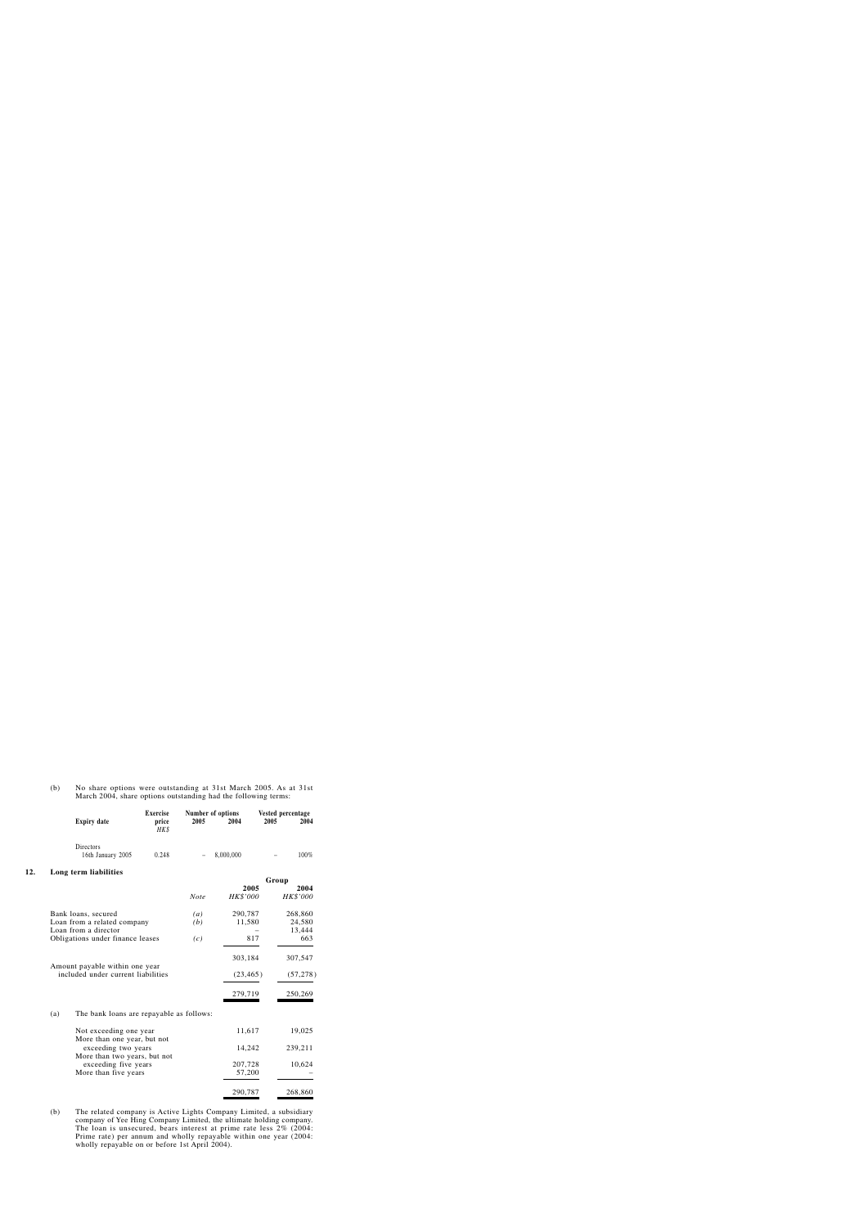(b) No share options were outstanding at 31st March 2005. As at 31st March 2004, share options outstanding had the following terms:

|     |     | <b>Expiry date</b>                                                   | <b>Exercise</b><br>price<br>HK\$ | 2005              | Number of options<br>2004 | Vested percentage<br>2005 | 2004             |
|-----|-----|----------------------------------------------------------------------|----------------------------------|-------------------|---------------------------|---------------------------|------------------|
|     |     | Directors<br>16th January 2005                                       | 0.248                            |                   | 8,000,000                 |                           | 100%             |
| 12. |     | Long term liabilities                                                |                                  |                   |                           |                           |                  |
|     |     |                                                                      |                                  |                   |                           | Group                     |                  |
|     |     |                                                                      |                                  | <b>Note</b>       | 2005<br>HK\$'000          |                           | 2004<br>HK\$'000 |
|     |     | Bank loans, secured                                                  |                                  | $\left( a\right)$ | 290,787                   |                           | 268,860          |
|     |     | Loan from a related company<br>Loan from a director                  |                                  | (b)               | 11,580                    |                           | 24,580<br>13,444 |
|     |     | Obligations under finance leases                                     |                                  | (c)               | 817                       |                           | 663              |
|     |     |                                                                      |                                  |                   | 303,184                   |                           | 307,547          |
|     |     | Amount payable within one year<br>included under current liabilities |                                  |                   | (23, 465)                 |                           | (57, 278)        |
|     |     |                                                                      |                                  |                   | 279,719                   |                           | 250,269          |
|     | (a) | The bank loans are repayable as follows:                             |                                  |                   |                           |                           |                  |
|     |     | Not exceeding one year<br>More than one year, but not                |                                  |                   | 11,617                    |                           | 19,025           |
|     |     | exceeding two years                                                  |                                  |                   | 14,242                    |                           | 239,211          |
|     |     | More than two years, but not<br>exceeding five years                 |                                  |                   | 207,728                   |                           | 10,624           |
|     |     | More than five years                                                 |                                  |                   | 57,200                    |                           |                  |
|     |     |                                                                      |                                  |                   | 290,787                   |                           | 268,860          |

(b) The related company is Active Lights Company Limited, a subsidiary company of Yee Hing Company Limited, the ultimate holding company. The loan is unsecured, bears interest at prime rate less  $2\%$  (2004: Prime rate) per annum and wholly repayable within one year (2004: wholly repayable on or before 1st April 2004).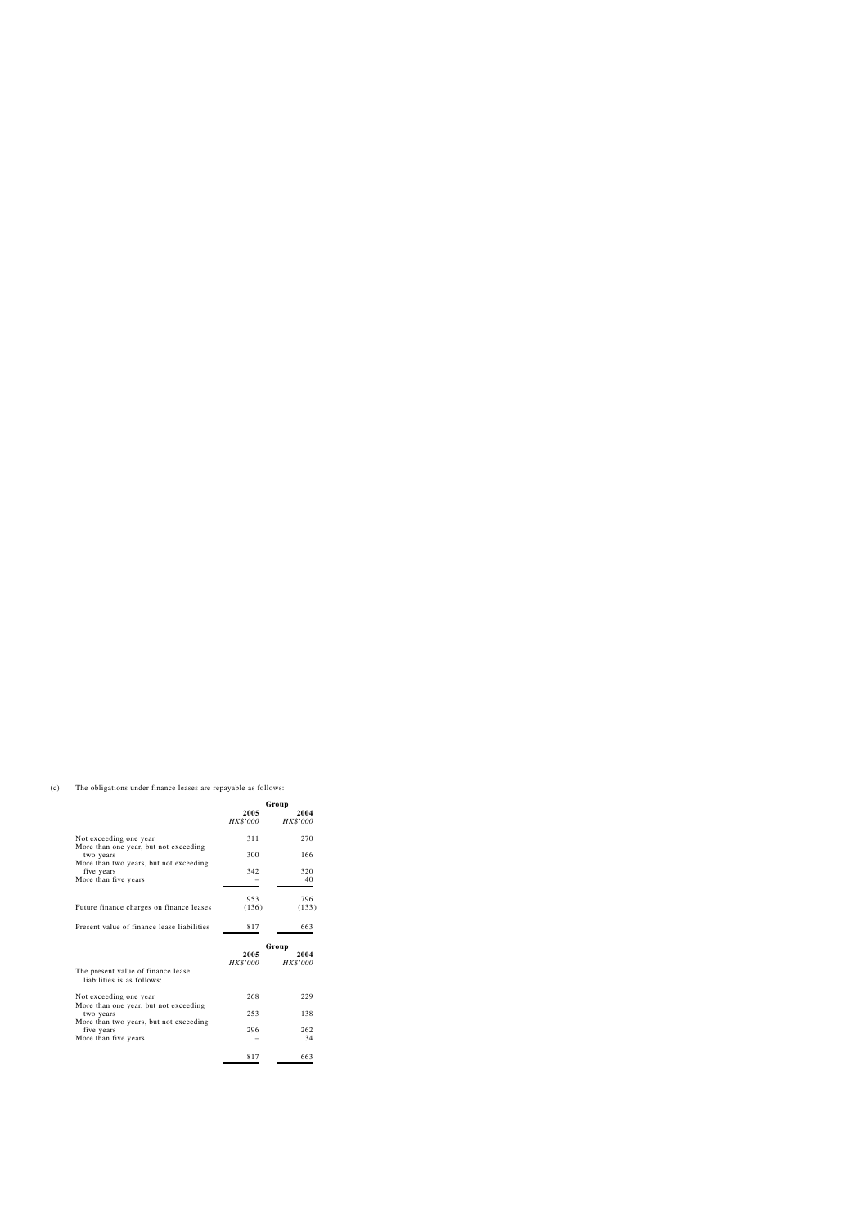(c) The obligations under finance leases are repayable as follows:

|                                                                  | Group            |                         |
|------------------------------------------------------------------|------------------|-------------------------|
|                                                                  | 2005<br>HK\$'000 | 2004<br>HK\$'000        |
| Not exceeding one year<br>More than one year, but not exceeding  | 311              | 270                     |
| two years<br>More than two years, but not exceeding              | 300              | 166                     |
| five years<br>More than five years                               | 342              | 320<br>40               |
|                                                                  | 953              | 796                     |
| Future finance charges on finance leases                         | (136)            | (133)                   |
| Present value of finance lease liabilities                       | 817              | 663                     |
|                                                                  |                  | Group                   |
|                                                                  | 2005<br>HK\$'000 | 2004<br><b>HK\$'000</b> |
| The present value of finance lease<br>liabilities is as follows: |                  |                         |
| Not exceeding one year<br>More than one year, but not exceeding  | 268              | 229                     |
| two years                                                        | 253              | 138                     |
| More than two years, but not exceeding                           |                  |                         |
| five years                                                       | 296              | 262                     |
| More than five years                                             |                  | 34                      |
|                                                                  | 817              | 663                     |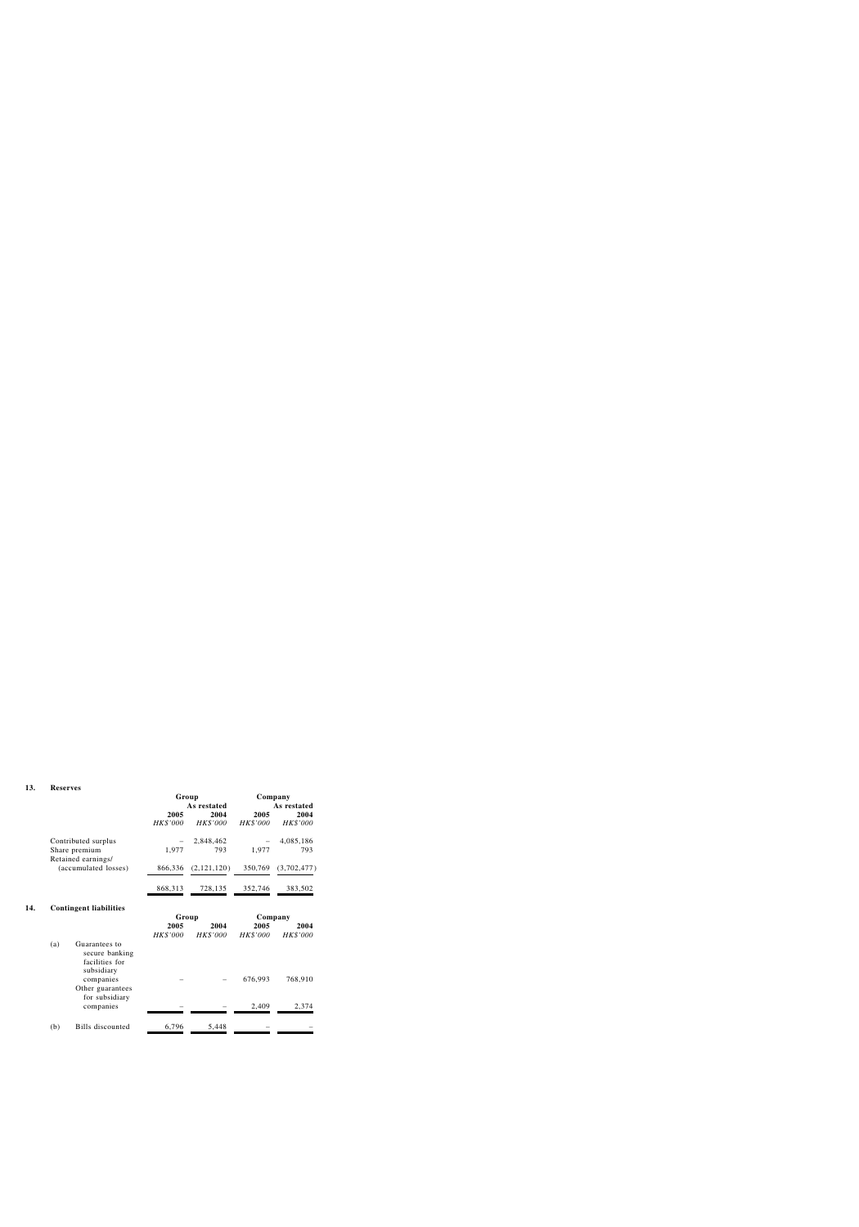#### **13. Reserves**

|                      | Group    |             | Company         |             |
|----------------------|----------|-------------|-----------------|-------------|
|                      |          | As restated | As restated     |             |
|                      | 2005     | 2004        | 2005            | 2004        |
|                      | HK\$'000 | HK\$'000    | <b>HK\$'000</b> | HK\$'000    |
| Contributed surplus  |          | 2,848,462   |                 | 4,085,186   |
| Share premium        | 1,977    | 793         | 1,977           | 793         |
| Retained earnings/   |          |             |                 |             |
| (accumulated losses) | 866,336  | (2,121,120) | 350,769         | (3,702,477) |
|                      | 868,313  | 728,135     | 352,746         | 383,502     |
|                      |          |             |                 |             |

# **14. Contingent liabilities**

|     |                                                                 |          | Group    |          | Company  |
|-----|-----------------------------------------------------------------|----------|----------|----------|----------|
|     |                                                                 | 2005     | 2004     | 2005     | 2004     |
|     |                                                                 | HK\$'000 | HK\$'000 | HK\$'000 | HK\$'000 |
| (a) | Guarantees to<br>secure banking<br>facilities for<br>subsidiary |          |          |          |          |
|     | companies<br>Other guarantees<br>for subsidiary                 |          |          | 676,993  | 768,910  |
|     | companies                                                       |          |          | 2,409    | 2,374    |
| (b) | Bills discounted                                                | 6,796    | 5,448    |          |          |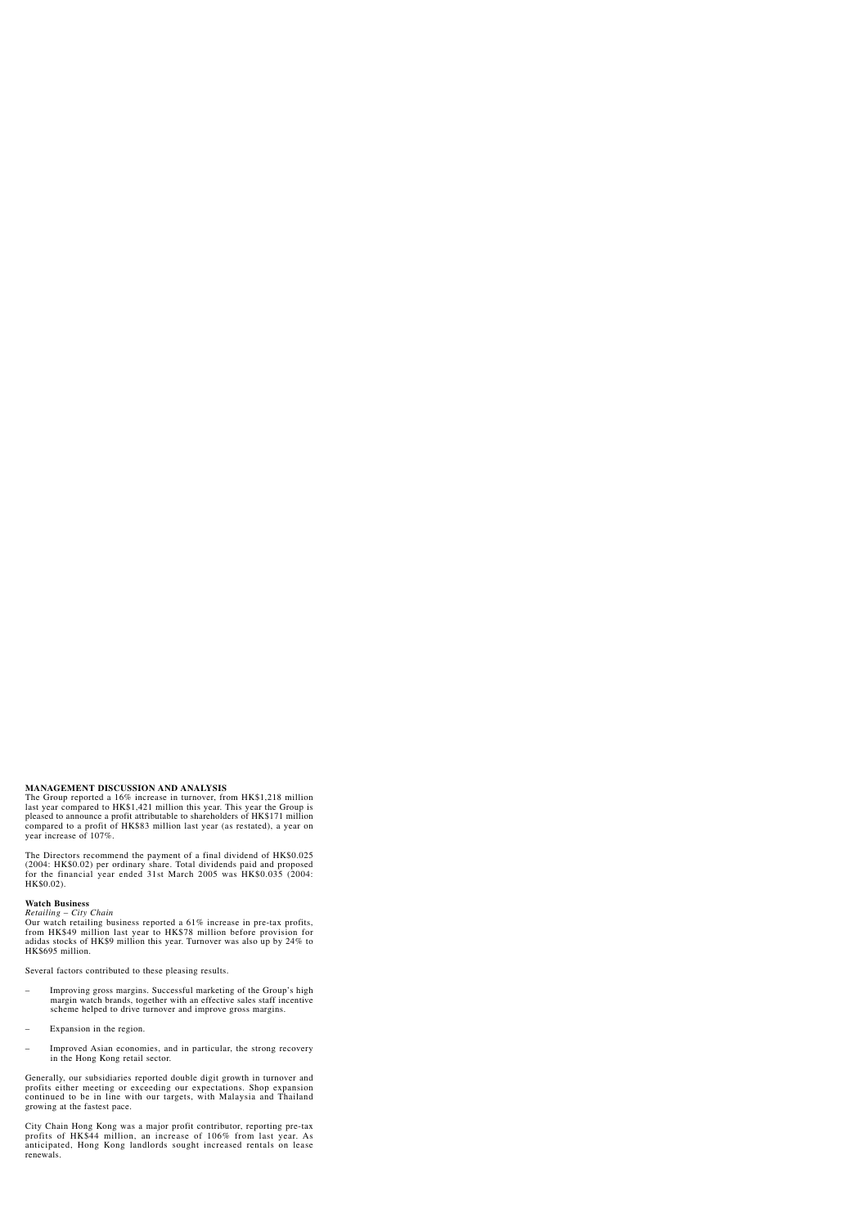# **MANAGEMENT DISCUSSION AND ANALYSIS**

The Group reported a 16% increase in turnover, from HK\$1,218 million last year compared to HK\$1,421 million this year. This year the Group is pleased to announce a profit attributable to shareholders of HK\$171 million compared to a profit of HK\$83 million last year (as restated), a year on year increase of 107%.

The Directors recommend the payment of a final dividend of HK\$0.025 (2004: HK\$0.02) per ordinary share. Total dividends paid and proposed for the financial year ended 31st March 2005 was HK\$0.035 (2004: HK\$0.02).

## **Watch Business**

*Retailing – City Chain*

Our watch retailing business reported a 61% increase in pre-tax profits, from HK\$49 million last year to HK\$78 million before provision for adidas stocks of HK\$9 million this year. Turnover was also up by 24% to HK\$695 million.

Several factors contributed to these pleasing results.

- Improving gross margins. Successful marketing of the Group's high margin watch brands, together with an effective sales staff incentive scheme helped to drive turnover and improve gross margins.
- Expansion in the region.
- Improved Asian economies, and in particular, the strong recovery in the Hong Kong retail sector.

Generally, our subsidiaries reported double digit growth in turnover and profits either meeting or exceeding our expectations. Shop expansion continued to be in line with our targets, with Malaysia and Thailand growing at the fastest pace.

City Chain Hong Kong was a major profit contributor, reporting pre-tax profits of HK\$44 million, an increase of 106% from last year. As anticipated, Hong Kong landlords sought increased rentals on lease renewals.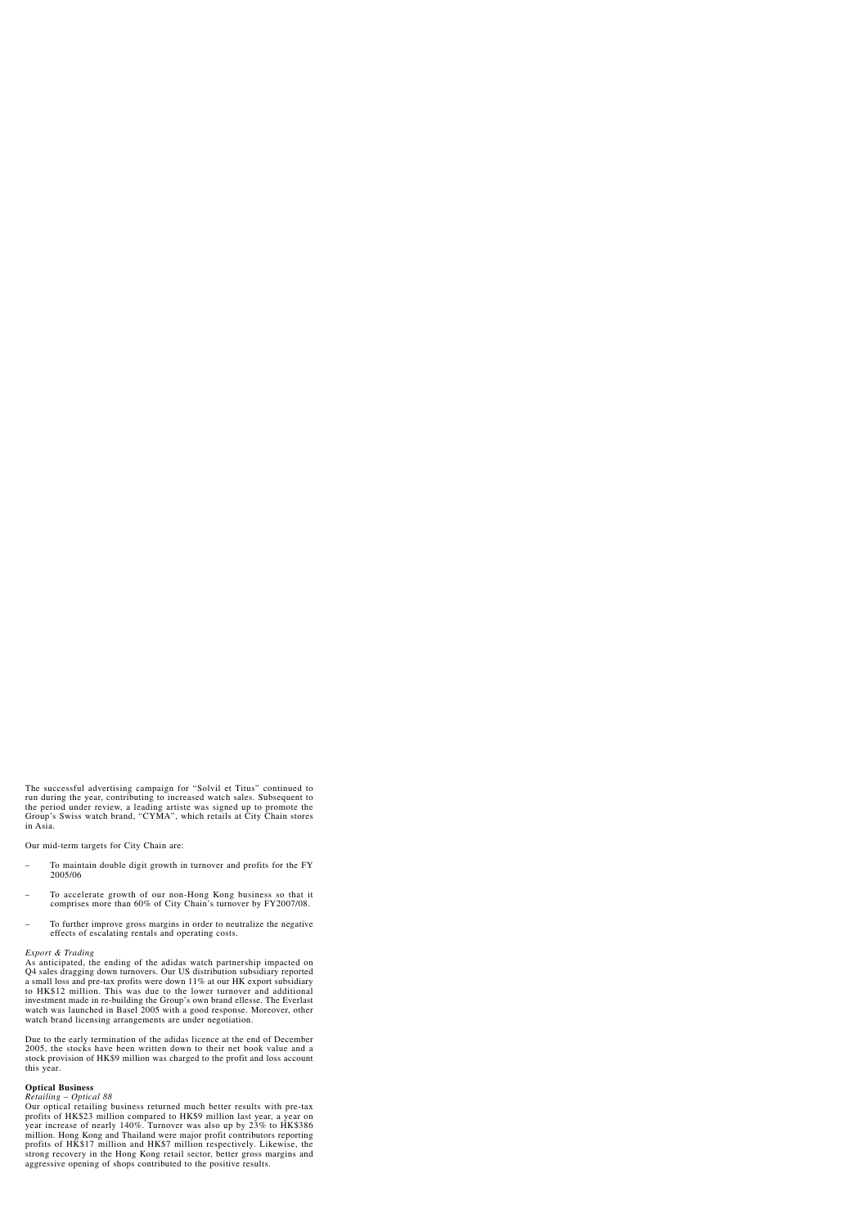The successful advertising campaign for "Solvil et Titus" continued to run during the year, contributing to increased watch sales. Subsequent to the period under review, a leading artiste was signed up to promote the Group's Swiss watch brand, "CYMA", which retails at City Chain stores in Asia.

Our mid-term targets for City Chain are:

- To maintain double digit growth in turnover and profits for the FY 2005/06
- To accelerate growth of our non-Hong Kong business so that it comprises more than 60% of City Chain's turnover by FY2007/08.
- To further improve gross margins in order to neutralize the negative effects of escalating rentals and operating costs.

## *Export & Trading*

As anticipated, the ending of the adidas watch partnership impacted on Q4 sales dragging down turnovers. Our US distribution subsidiary reported a small loss and pre-tax profits were down 11% at our HK export subsidiary to HK\$12 million. This was due to the lower turnover and additional investment made in re-building the Group's own brand ellesse. The Everlast watch was launched in Basel 2005 with a good response. Moreover, other watch brand licensing arrangements are under negotiation.

Due to the early termination of the adidas licence at the end of December 2005, the stocks have been written down to their net book value and a stock provision of HK\$9 million was charged to the profit and loss account this year.

## **Optical Business**

### *Retailing – Optical 88*

Our optical retailing business returned much better results with pre-tax profits of HK\$23 million compared to HK\$9 million last year, a year on year increase of nearly 140%. Turnover was also up by 23% to HK\$386 million. Hong Kong and Thailand were major profit contributors reporting profits of HK\$17 million and HK\$7 million respectively. Likewise, the strong recovery in the Hong Kong retail sector, better gross margins and aggressive opening of shops contributed to the positive results.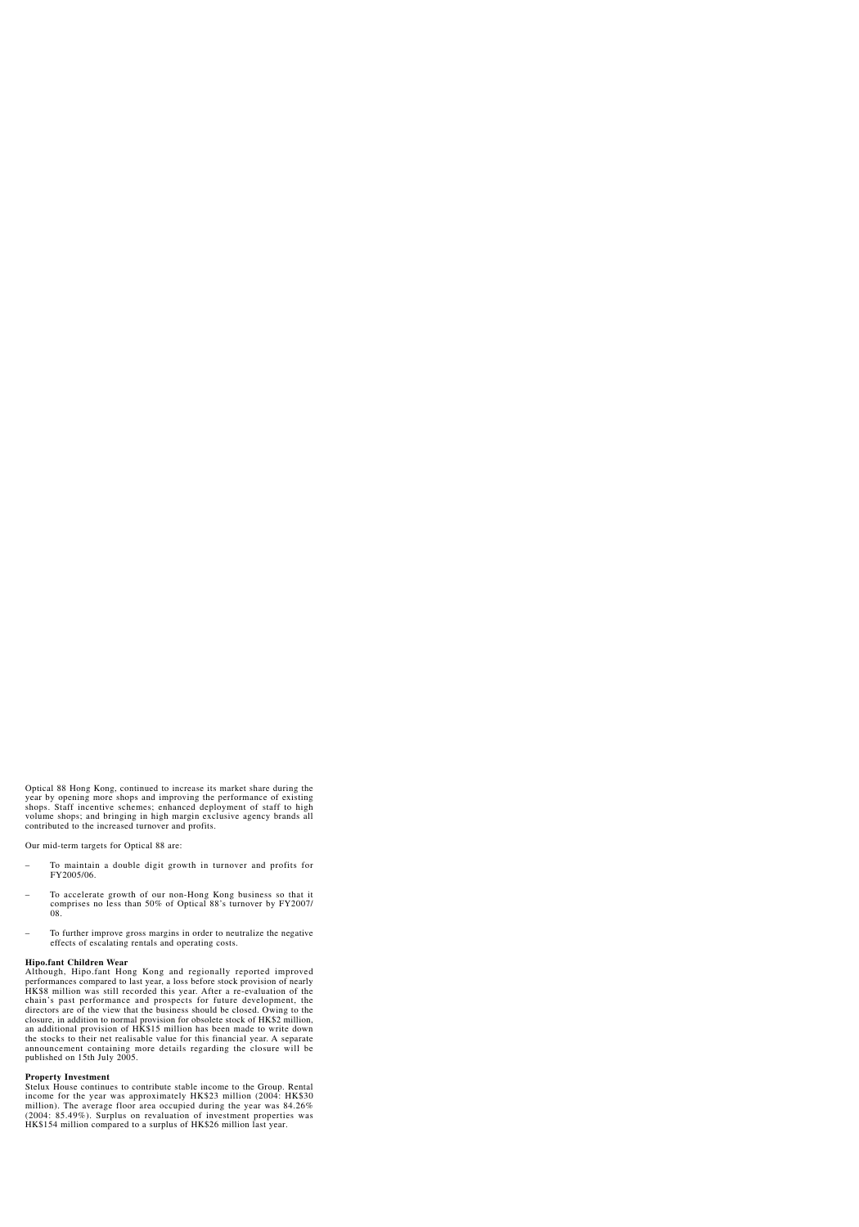Optical 88 Hong Kong, continued to increase its market share during the year by opening more shops and improving the performance of existing shops. Staff incentive schemes; enhanced deployment of staff to high volume shops; and bringing in high margin exclusive agency brands all contributed to the increased turnover and profits.

Our mid-term targets for Optical 88 are:

- To maintain a double digit growth in turnover and profits for FY2005/06.
- To accelerate growth of our non-Hong Kong business so that it comprises no less than 50% of Optical 88's turnover by FY2007/ 08.
- To further improve gross margins in order to neutralize the negative effects of escalating rentals and operating costs.

## **Hipo.fant Children Wear**

Although, Hipo.fant Hong Kong and regionally reported improved performances compared to last year, a loss before stock provision of nearly HK\$8 million was still recorded this year. After a re-evaluation of the chain's past performance and prospects for future development, the directors are of the view that the business should be closed. Owing to the closure, in addition to normal provision for obsolete stock of HK\$2 million, an additional provision of HK\$15 million has been made to write down the stocks to their net realisable value for this financial year. A separate announcement containing more details regarding the closure will be published on 15th July 2005.

## **Property Investment**

Stelux House continues to contribute stable income to the Group. Rental income for the year was approximately HK\$23 million (2004: HK\$30 million). The average floor area occupied during the year was 84.26% (2004: 85.49%). Surplus on revaluation of investment properties was HK\$154 million compared to a surplus of HK\$26 million last year.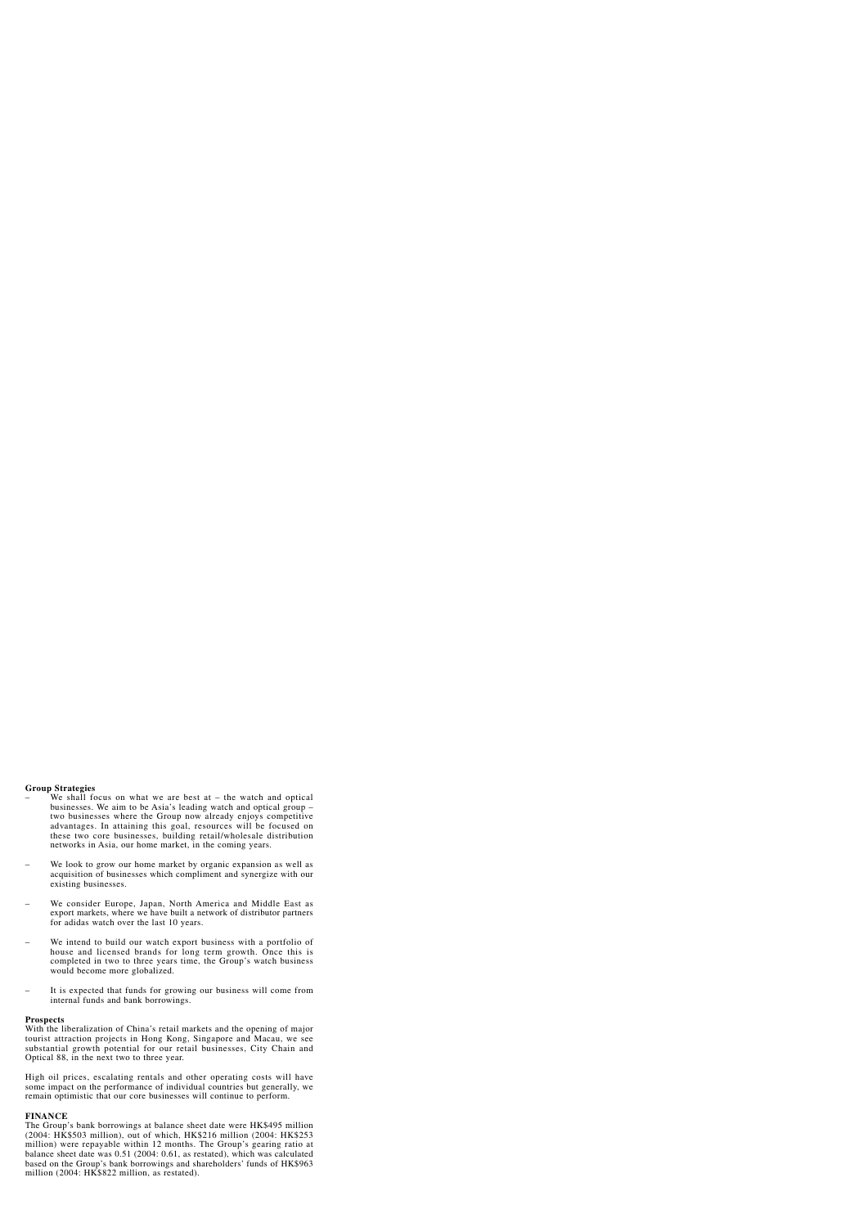## **Group Strategies**

- We shall focus on what we are best at  $-$  the watch and optical businesses. We aim to be Asia's leading watch and optical group – two businesses where the Group now already enjoys competitive advantages. In attaining this goal, resources will be focused on these two core businesses, building retail/wholesale distribution networks in Asia, our home market, in the coming years.
- We look to grow our home market by organic expansion as well as acquisition of businesses which compliment and synergize with our existing businesses.
- We consider Europe, Japan, North America and Middle East as export markets, where we have built a network of distributor partners for adidas watch over the last 10 years.
- We intend to build our watch export business with a portfolio of house and licensed brands for long term growth. Once this is completed in two to three years time, the Group's watch business would become more globalized.
- It is expected that funds for growing our business will come from internal funds and bank borrowings.

### **Prospects**

With the liberalization of China's retail markets and the opening of major tourist attraction projects in Hong Kong, Singapore and Macau, we see substantial growth potential for our retail businesses, City Chain and Optical 88, in the next two to three year.

High oil prices, escalating rentals and other operating costs will have some impact on the performance of individual countries but generally, we remain optimistic that our core businesses will continue to perform.

### **FINANCE**

The Group's bank borrowings at balance sheet date were HK\$495 million (2004: HK\$503 million), out of which, HK\$216 million (2004: HK\$253 million) were repayable within 12 months. The Group's gearing ratio at balance sheet date was 0.51 (2004: 0.61, as restated), which was calculated based on the Group's bank borrowings and shareholders' funds of HK\$963 million (2004: HK\$822 million, as restated).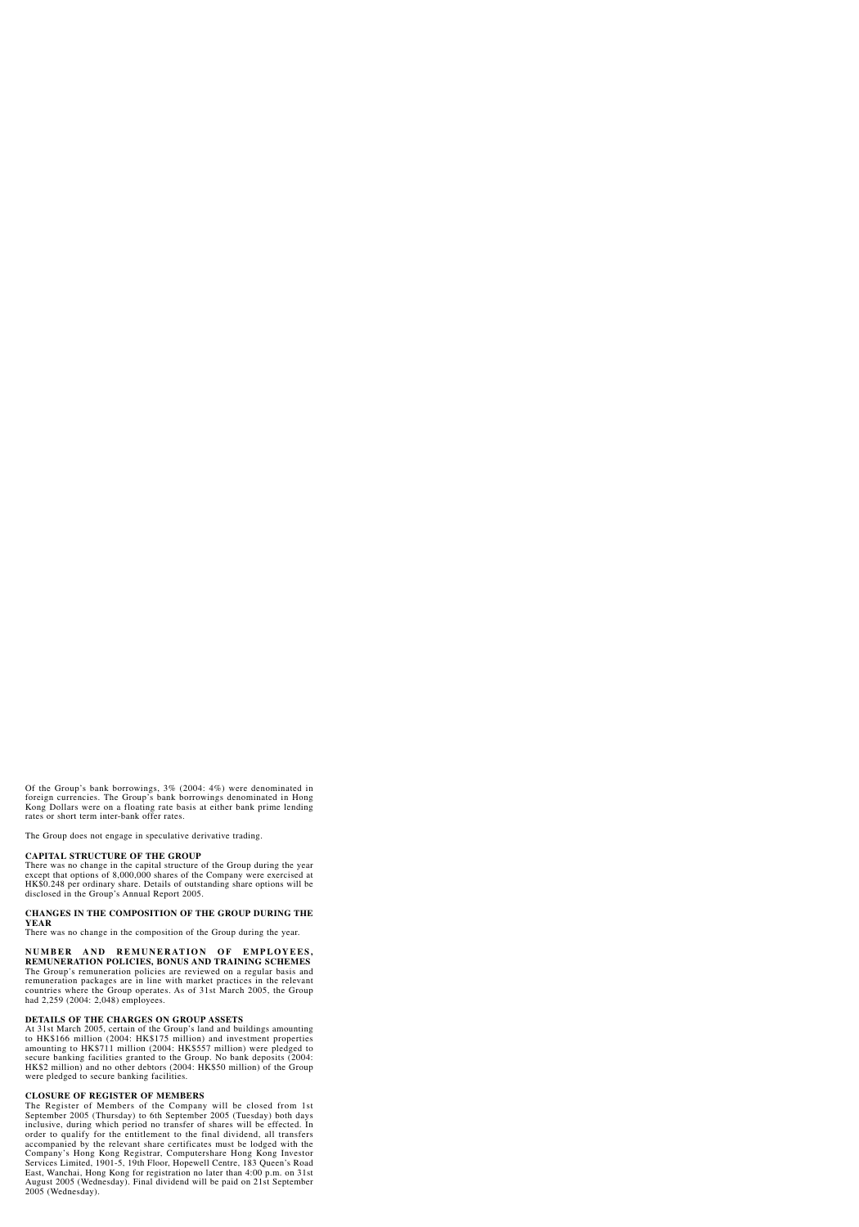Of the Group's bank borrowings, 3% (2004: 4%) were denominated in foreign currencies. The Group's bank borrowings denominated in Hong Kong Dollars were on a floating rate basis at either bank prime lending rates or short term inter-bank offer rates.

The Group does not engage in speculative derivative trading.

# **CAPITAL STRUCTURE OF THE GROUP**

There was no change in the capital structure of the Group during the year except that options of 8,000,000 shares of the Company were exercised at HK\$0.248 per ordinary share. Details of outstanding share options will be disclosed in the Group's Annual Report 2005.

## **CHANGES IN THE COMPOSITION OF THE GROUP DURING THE YEAR**

There was no change in the composition of the Group during the year.

# **NUMBER AND REMUNERATION OF EMPLOYEES, REMUNERATION POLICIES, BONUS AND TRAINING SCHEMES**

The Group's remuneration policies are reviewed on a regular basis and remuneration packages are in line with market practices in the relevant countries where the Group operates. As of 31st March 2005, the Group had 2,259 (2004: 2,048) employees.

# **DETAILS OF THE CHARGES ON GROUP ASSETS**

At 31st March 2005, certain of the Group's land and buildings amounting to HK\$166 million (2004: HK\$175 million) and investment properties amounting to HK\$711 million (2004: HK\$557 million) were pledged to secure banking facilities granted to the Group. No bank deposits (2004: HK\$2 million) and no other debtors (2004: HK\$50 million) of the Group were pledged to secure banking facilities.

# **CLOSURE OF REGISTER OF MEMBERS**

The Register of Members of the Company will be closed from 1st September 2005 (Thursday) to 6th September 2005 (Tuesday) both days inclusive, during which period no transfer of shares will be effected. In order to qualify for the entitlement to the final dividend, all transfers accompanied by the relevant share certificates must be lodged with the Company's Hong Kong Registrar, Computershare Hong Kong Investor Services Limited, 1901-5, 19th Floor, Hopewell Centre, 183 Queen's Road East, Wanchai, Hong Kong for registration no later than 4:00 p.m. on 31st August 2005 (Wednesday). Final dividend will be paid on 21st September 2005 (Wednesday).